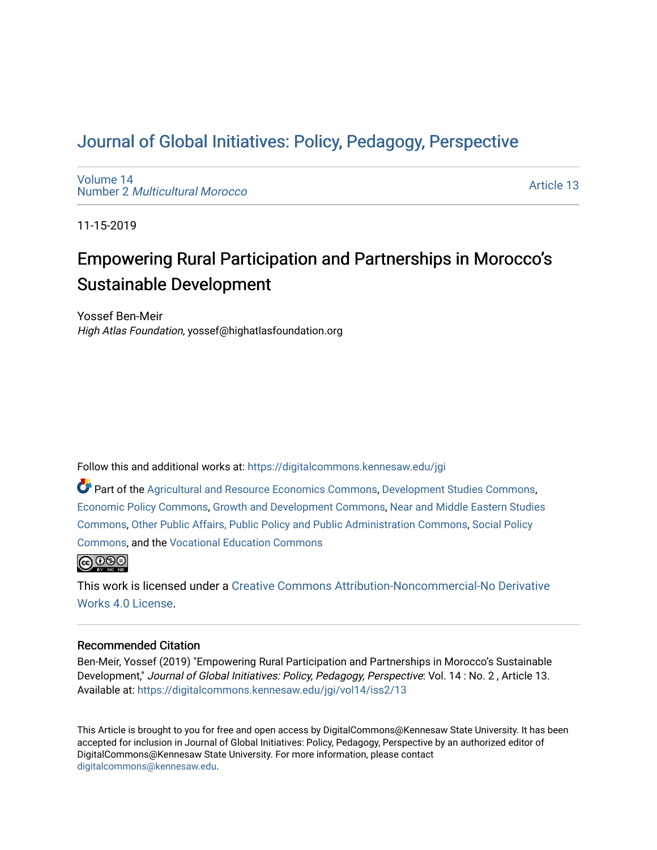# [Journal of Global Initiatives: Policy, Pedagogy](https://digitalcommons.kennesaw.edu/jgi), Perspective

[Volume 14](https://digitalcommons.kennesaw.edu/jgi/vol14) Number 2 [Multicultural Morocco](https://digitalcommons.kennesaw.edu/jgi/vol14/iss2)

[Article 13](https://digitalcommons.kennesaw.edu/jgi/vol14/iss2/13) 

11-15-2019

# Empowering Rural Participation and Partnerships in Morocco's Sustainable Development

Yossef Ben-Meir High Atlas Foundation, yossef@highatlasfoundation.org

Follow this and additional works at: [https://digitalcommons.kennesaw.edu/jgi](https://digitalcommons.kennesaw.edu/jgi?utm_source=digitalcommons.kennesaw.edu%2Fjgi%2Fvol14%2Fiss2%2F13&utm_medium=PDF&utm_campaign=PDFCoverPages) 

Part of the [Agricultural and Resource Economics Commons,](http://network.bepress.com/hgg/discipline/317?utm_source=digitalcommons.kennesaw.edu%2Fjgi%2Fvol14%2Fiss2%2F13&utm_medium=PDF&utm_campaign=PDFCoverPages) [Development Studies Commons,](http://network.bepress.com/hgg/discipline/1422?utm_source=digitalcommons.kennesaw.edu%2Fjgi%2Fvol14%2Fiss2%2F13&utm_medium=PDF&utm_campaign=PDFCoverPages) [Economic Policy Commons](http://network.bepress.com/hgg/discipline/1025?utm_source=digitalcommons.kennesaw.edu%2Fjgi%2Fvol14%2Fiss2%2F13&utm_medium=PDF&utm_campaign=PDFCoverPages), [Growth and Development Commons](http://network.bepress.com/hgg/discipline/346?utm_source=digitalcommons.kennesaw.edu%2Fjgi%2Fvol14%2Fiss2%2F13&utm_medium=PDF&utm_campaign=PDFCoverPages), [Near and Middle Eastern Studies](http://network.bepress.com/hgg/discipline/1308?utm_source=digitalcommons.kennesaw.edu%2Fjgi%2Fvol14%2Fiss2%2F13&utm_medium=PDF&utm_campaign=PDFCoverPages) [Commons](http://network.bepress.com/hgg/discipline/1308?utm_source=digitalcommons.kennesaw.edu%2Fjgi%2Fvol14%2Fiss2%2F13&utm_medium=PDF&utm_campaign=PDFCoverPages), [Other Public Affairs, Public Policy and Public Administration Commons,](http://network.bepress.com/hgg/discipline/403?utm_source=digitalcommons.kennesaw.edu%2Fjgi%2Fvol14%2Fiss2%2F13&utm_medium=PDF&utm_campaign=PDFCoverPages) [Social Policy](http://network.bepress.com/hgg/discipline/1030?utm_source=digitalcommons.kennesaw.edu%2Fjgi%2Fvol14%2Fiss2%2F13&utm_medium=PDF&utm_campaign=PDFCoverPages)  [Commons](http://network.bepress.com/hgg/discipline/1030?utm_source=digitalcommons.kennesaw.edu%2Fjgi%2Fvol14%2Fiss2%2F13&utm_medium=PDF&utm_campaign=PDFCoverPages), and the [Vocational Education Commons](http://network.bepress.com/hgg/discipline/1369?utm_source=digitalcommons.kennesaw.edu%2Fjgi%2Fvol14%2Fiss2%2F13&utm_medium=PDF&utm_campaign=PDFCoverPages) 



This work is licensed under a [Creative Commons Attribution-Noncommercial-No Derivative](https://creativecommons.org/licenses/by-nc-nd/4.0/)  [Works 4.0 License](https://creativecommons.org/licenses/by-nc-nd/4.0/).

# Recommended Citation

Ben-Meir, Yossef (2019) "Empowering Rural Participation and Partnerships in Morocco's Sustainable Development," Journal of Global Initiatives: Policy, Pedagogy, Perspective: Vol. 14 : No. 2 , Article 13. Available at: [https://digitalcommons.kennesaw.edu/jgi/vol14/iss2/13](https://digitalcommons.kennesaw.edu/jgi/vol14/iss2/13?utm_source=digitalcommons.kennesaw.edu%2Fjgi%2Fvol14%2Fiss2%2F13&utm_medium=PDF&utm_campaign=PDFCoverPages)

This Article is brought to you for free and open access by DigitalCommons@Kennesaw State University. It has been accepted for inclusion in Journal of Global Initiatives: Policy, Pedagogy, Perspective by an authorized editor of DigitalCommons@Kennesaw State University. For more information, please contact [digitalcommons@kennesaw.edu.](mailto:digitalcommons@kennesaw.edu)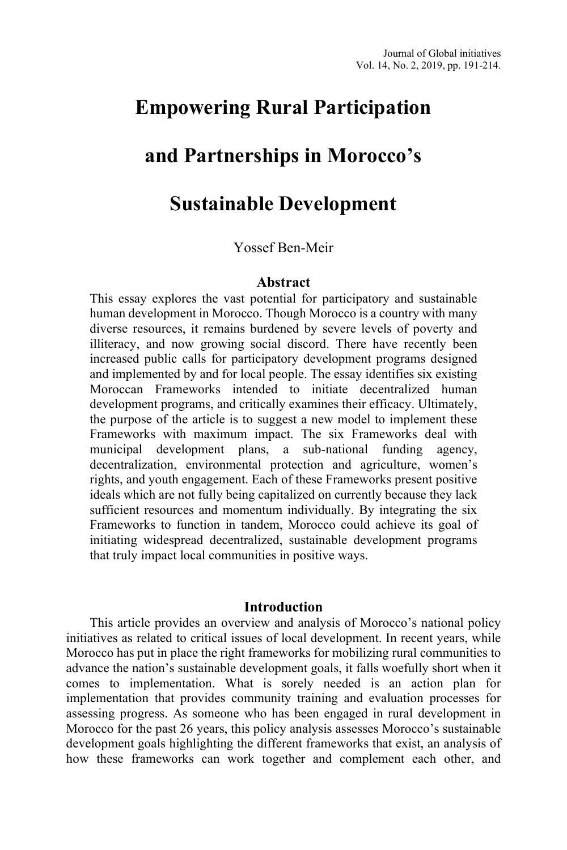# **Empowering Rural Participation**

# **and Partnerships in Morocco's**

# **Sustainable Development**

# Yossef Ben-Meir

#### **Abstract**

This essay explores the vast potential for participatory and sustainable human development in Morocco. Though Morocco is a country with many diverse resources, it remains burdened by severe levels of poverty and illiteracy, and now growing social discord. There have recently been increased public calls for participatory development programs designed and implemented by and for local people. The essay identifies six existing Moroccan Frameworks intended to initiate decentralized human development programs, and critically examines their efficacy. Ultimately, the purpose of the article is to suggest a new model to implement these Frameworks with maximum impact. The six Frameworks deal with municipal development plans, a sub-national funding agency, decentralization, environmental protection and agriculture, women's rights, and youth engagement. Each of these Frameworks present positive ideals which are not fully being capitalized on currently because they lack sufficient resources and momentum individually. By integrating the six Frameworks to function in tandem, Morocco could achieve its goal of initiating widespread decentralized, sustainable development programs that truly impact local communities in positive ways.

#### **Introduction**

This article provides an overview and analysis of Morocco's national policy initiatives as related to critical issues of local development. In recent years, while Morocco has put in place the right frameworks for mobilizing rural communities to advance the nation's sustainable development goals, it falls woefully short when it comes to implementation. What is sorely needed is an action plan for implementation that provides community training and evaluation processes for assessing progress. As someone who has been engaged in rural development in Morocco for the past 26 years, this policy analysis assesses Morocco's sustainable development goals highlighting the different frameworks that exist, an analysis of how these frameworks can work together and complement each other, and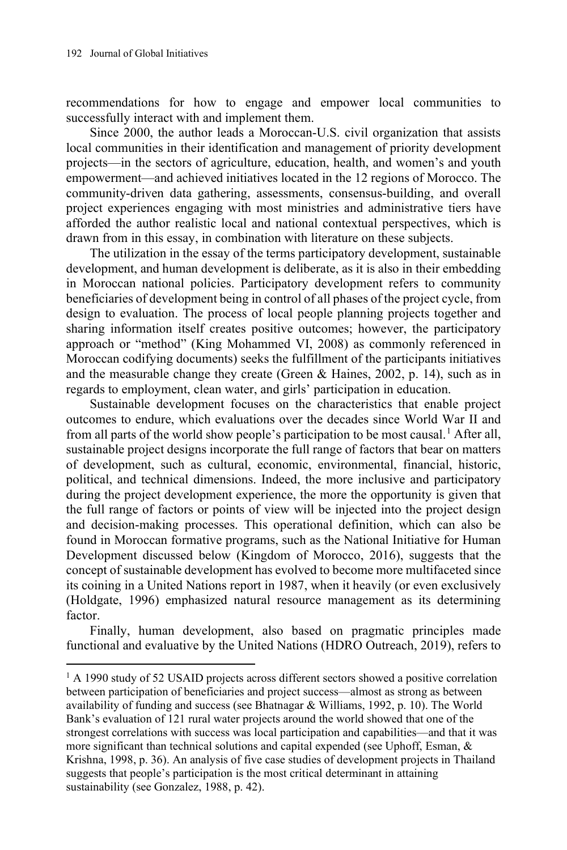recommendations for how to engage and empower local communities to successfully interact with and implement them.

Since 2000, the author leads a Moroccan-U.S. civil organization that assists local communities in their identification and management of priority development projects—in the sectors of agriculture, education, health, and women's and youth empowerment—and achieved initiatives located in the 12 regions of Morocco. The community-driven data gathering, assessments, consensus-building, and overall project experiences engaging with most ministries and administrative tiers have afforded the author realistic local and national contextual perspectives, which is drawn from in this essay, in combination with literature on these subjects.

The utilization in the essay of the terms participatory development, sustainable development, and human development is deliberate, as it is also in their embedding in Moroccan national policies. Participatory development refers to community beneficiaries of development being in control of all phases of the project cycle, from design to evaluation. The process of local people planning projects together and sharing information itself creates positive outcomes; however, the participatory approach or "method" (King Mohammed VI, 2008) as commonly referenced in Moroccan codifying documents) seeks the fulfillment of the participants initiatives and the measurable change they create (Green & Haines, 2002, p. 14), such as in regards to employment, clean water, and girls' participation in education.

Sustainable development focuses on the characteristics that enable project outcomes to endure, which evaluations over the decades since World War II and from all parts of the world show people's participation to be most causal.<sup>[1](#page-2-0)</sup> After all, sustainable project designs incorporate the full range of factors that bear on matters of development, such as cultural, economic, environmental, financial, historic, political, and technical dimensions. Indeed, the more inclusive and participatory during the project development experience, the more the opportunity is given that the full range of factors or points of view will be injected into the project design and decision-making processes. This operational definition, which can also be found in Moroccan formative programs, such as the National Initiative for Human Development discussed below (Kingdom of Morocco, 2016), suggests that the concept of sustainable development has evolved to become more multifaceted since its coining in a United Nations report in 1987, when it heavily (or even exclusively (Holdgate, 1996) emphasized natural resource management as its determining factor.

Finally, human development, also based on pragmatic principles made functional and evaluative by the United Nations (HDRO Outreach, 2019), refers to

<span id="page-2-0"></span> $1$  A 1990 study of 52 USAID projects across different sectors showed a positive correlation between participation of beneficiaries and project success—almost as strong as between availability of funding and success (see Bhatnagar & Williams, 1992, p. 10). The World Bank's evaluation of 121 rural water projects around the world showed that one of the strongest correlations with success was local participation and capabilities—and that it was more significant than technical solutions and capital expended (see Uphoff, Esman, & Krishna, 1998, p. 36). An analysis of five case studies of development projects in Thailand suggests that people's participation is the most critical determinant in attaining sustainability (see Gonzalez, 1988, p. 42).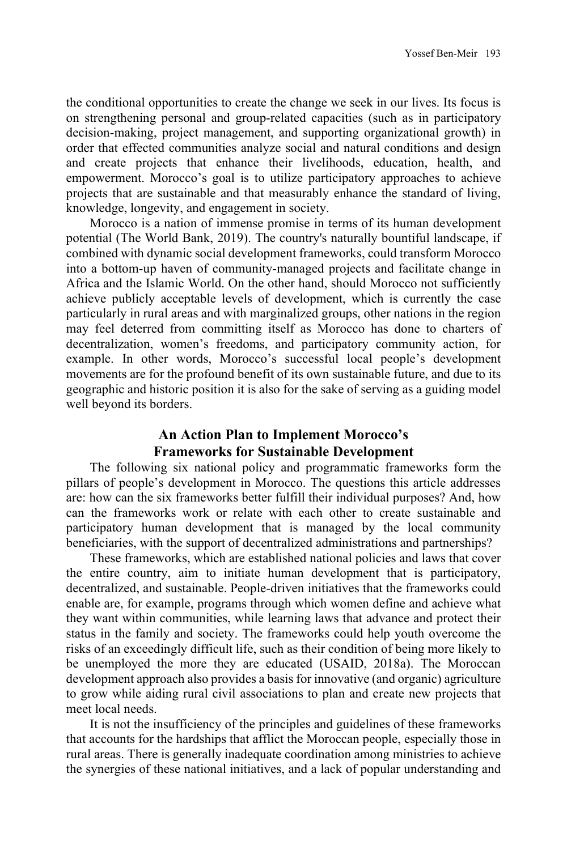the conditional opportunities to create the change we seek in our lives. Its focus is on strengthening personal and group-related capacities (such as in participatory decision-making, project management, and supporting organizational growth) in order that effected communities analyze social and natural conditions and design and create projects that enhance their livelihoods, education, health, and empowerment. Morocco's goal is to utilize participatory approaches to achieve projects that are sustainable and that measurably enhance the standard of living, knowledge, longevity, and engagement in society.

Morocco is a nation of immense promise in terms of its human development potential (The World Bank, 2019). The country's naturally bountiful landscape, if combined with dynamic social development frameworks, could transform Morocco into a bottom-up haven of community-managed projects and facilitate change in Africa and the Islamic World. On the other hand, should Morocco not sufficiently achieve publicly acceptable levels of development, which is currently the case particularly in rural areas and with marginalized groups, other nations in the region may feel deterred from committing itself as Morocco has done to charters of decentralization, women's freedoms, and participatory community action, for example. In other words, Morocco's successful local people's development movements are for the profound benefit of its own sustainable future, and due to its geographic and historic position it is also for the sake of serving as a guiding model well beyond its borders.

# **An Action Plan to Implement Morocco's Frameworks for Sustainable Development**

The following six national policy and programmatic frameworks form the pillars of people's development in Morocco. The questions this article addresses are: how can the six frameworks better fulfill their individual purposes? And, how can the frameworks work or relate with each other to create sustainable and participatory human development that is managed by the local community beneficiaries, with the support of decentralized administrations and partnerships?

These frameworks, which are established national policies and laws that cover the entire country, aim to initiate human development that is participatory, decentralized, and sustainable. People-driven initiatives that the frameworks could enable are, for example, programs through which women define and achieve what they want within communities, while learning laws that advance and protect their status in the family and society. The frameworks could help youth overcome the risks of an exceedingly difficult life, such as their condition of being more likely to be unemployed the more they are educated (USAID, 2018a). The Moroccan development approach also provides a basis for innovative (and organic) agriculture to grow while aiding rural civil associations to plan and create new projects that meet local needs.

It is not the insufficiency of the principles and guidelines of these frameworks that accounts for the hardships that afflict the Moroccan people, especially those in rural areas. There is generally inadequate coordination among ministries to achieve the synergies of these national initiatives, and a lack of popular understanding and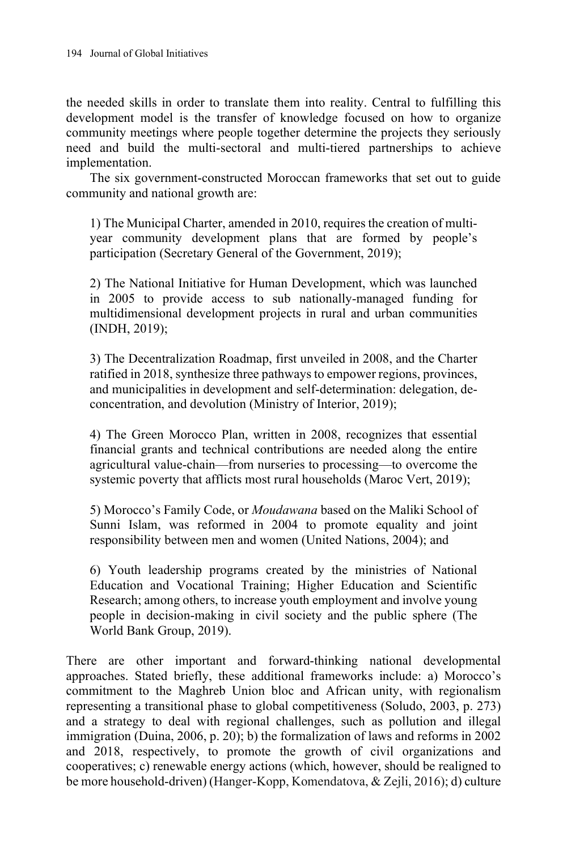the needed skills in order to translate them into reality. Central to fulfilling this development model is the transfer of knowledge focused on how to organize community meetings where people together determine the projects they seriously need and build the multi-sectoral and multi-tiered partnerships to achieve implementation.

The six government-constructed Moroccan frameworks that set out to guide community and national growth are:

1) The Municipal Charter, amended in 2010, requires the creation of multiyear community development plans that are formed by people's participation (Secretary General of the Government, 2019);

2) The National Initiative for Human Development, which was launched in 2005 to provide access to sub nationally-managed funding for multidimensional development projects in rural and urban communities (INDH, 2019);

3) The Decentralization Roadmap, first unveiled in 2008, and the Charter ratified in 2018, synthesize three pathways to empower regions, provinces, and municipalities in development and self-determination: delegation, deconcentration, and devolution (Ministry of Interior, 2019);

4) The Green Morocco Plan, written in 2008, recognizes that essential financial grants and technical contributions are needed along the entire agricultural value-chain—from nurseries to processing—to overcome the systemic poverty that afflicts most rural households (Maroc Vert, 2019);

5) Morocco's Family Code, or *Moudawana* based on the Maliki School of Sunni Islam, was reformed in 2004 to promote equality and joint responsibility between men and women (United Nations, 2004); and

6) Youth leadership programs created by the ministries of National Education and Vocational Training; Higher Education and Scientific Research; among others, to increase youth employment and involve young people in decision-making in civil society and the public sphere (The World Bank Group, 2019).

There are other important and forward-thinking national developmental approaches. Stated briefly, these additional frameworks include: a) Morocco's commitment to the Maghreb Union bloc and African unity, with regionalism representing a transitional phase to global competitiveness (Soludo, 2003, p. 273) and a strategy to deal with regional challenges, such as pollution and illegal immigration (Duina, 2006, p. 20); b) the formalization of laws and reforms in 2002 and 2018, respectively, to promote the growth of civil organizations and cooperatives; c) renewable energy actions (which, however, should be realigned to be more household-driven) (Hanger-Kopp, Komendatova, & Zejli, 2016); d) culture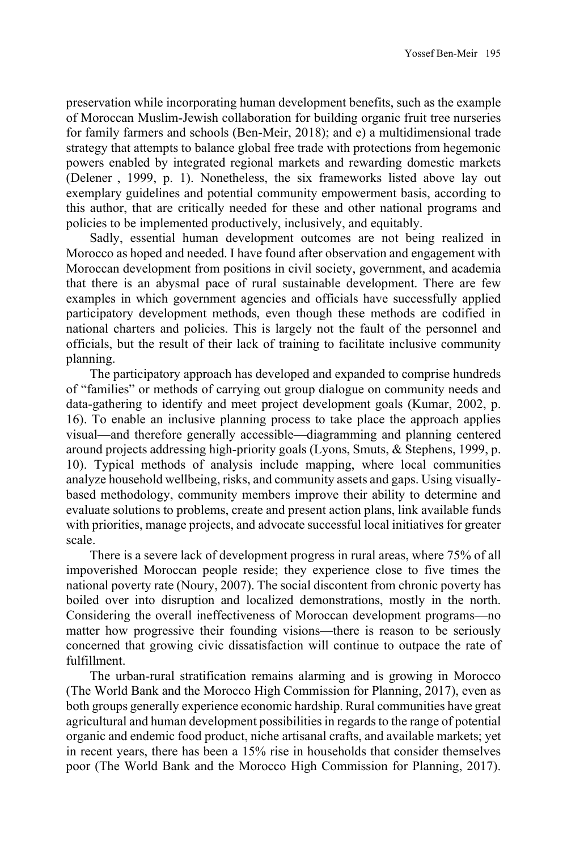preservation while incorporating human development benefits, such as the example of Moroccan Muslim-Jewish collaboration for building organic fruit tree nurseries for family farmers and schools (Ben-Meir, 2018); and e) a multidimensional trade strategy that attempts to balance global free trade with protections from hegemonic powers enabled by integrated regional markets and rewarding domestic markets (Delener , 1999, p. 1). Nonetheless, the six frameworks listed above lay out exemplary guidelines and potential community empowerment basis, according to this author, that are critically needed for these and other national programs and policies to be implemented productively, inclusively, and equitably.

Sadly, essential human development outcomes are not being realized in Morocco as hoped and needed. I have found after observation and engagement with Moroccan development from positions in civil society, government, and academia that there is an abysmal pace of rural sustainable development. There are few examples in which government agencies and officials have successfully applied participatory development methods, even though these methods are codified in national charters and policies. This is largely not the fault of the personnel and officials, but the result of their lack of training to facilitate inclusive community planning.

The participatory approach has developed and expanded to comprise hundreds of "families" or methods of carrying out group dialogue on community needs and data-gathering to identify and meet project development goals (Kumar, 2002, p. 16). To enable an inclusive planning process to take place the approach applies visual—and therefore generally accessible—diagramming and planning centered around projects addressing high-priority goals (Lyons, Smuts, & Stephens, 1999, p. 10). Typical methods of analysis include mapping, where local communities analyze household wellbeing, risks, and community assets and gaps. Using visuallybased methodology, community members improve their ability to determine and evaluate solutions to problems, create and present action plans, link available funds with priorities, manage projects, and advocate successful local initiatives for greater scale.

There is a severe lack of development progress in rural areas, where 75% of all impoverished Moroccan people reside; they experience close to five times the national poverty rate (Noury, 2007). The social discontent from chronic poverty has boiled over into disruption and localized demonstrations, mostly in the north. Considering the overall ineffectiveness of Moroccan development programs—no matter how progressive their founding visions—there is reason to be seriously concerned that growing civic dissatisfaction will continue to outpace the rate of fulfillment.

The urban-rural stratification remains alarming and is growing in Morocco (The World Bank and the Morocco High Commission for Planning, 2017), even as both groups generally experience economic hardship. Rural communities have great agricultural and human development possibilities in regards to the range of potential organic and endemic food product, niche artisanal crafts, and available markets; yet in recent years, there has been a 15% rise in households that consider themselves poor (The World Bank and the Morocco High Commission for Planning, 2017).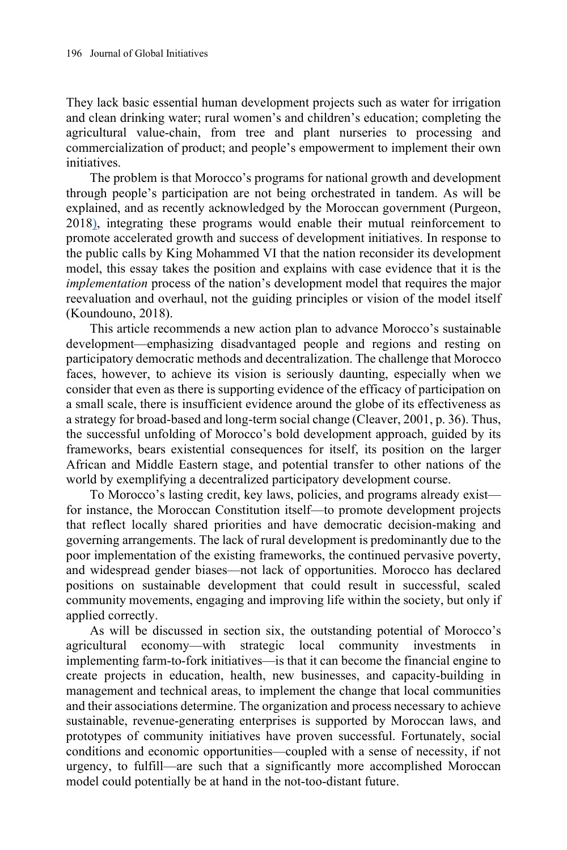They lack basic essential human development projects such as water for irrigation and clean drinking water; rural women's and children's education; completing the agricultural value-chain, from tree and plant nurseries to processing and commercialization of product; and people's empowerment to implement their own initiatives.

The problem is that Morocco's programs for national growth and development through people's participation are not being orchestrated in tandem. As will be explained, and as recently acknowledged by the Moroccan government (Purgeon, 2018), integrating these programs would enable their mutual reinforcement to promote accelerated growth and success of development initiatives. In response to the public calls by King Mohammed VI that the nation reconsider its development model, this essay takes the position and explains with case evidence that it is the *implementation* process of the nation's development model that requires the major reevaluation and overhaul, not the guiding principles or vision of the model itself (Koundouno, 2018).

This article recommends a new action plan to advance Morocco's sustainable development—emphasizing disadvantaged people and regions and resting on participatory democratic methods and decentralization. The challenge that Morocco faces, however, to achieve its vision is seriously daunting, especially when we consider that even as there is supporting evidence of the efficacy of participation on a small scale, there is insufficient evidence around the globe of its effectiveness as a strategy for broad-based and long-term social change (Cleaver, 2001, p. 36). Thus, the successful unfolding of Morocco's bold development approach, guided by its frameworks, bears existential consequences for itself, its position on the larger African and Middle Eastern stage, and potential transfer to other nations of the world by exemplifying a decentralized participatory development course.

To Morocco's lasting credit, key laws, policies, and programs already exist for instance, the Moroccan Constitution itself—to promote development projects that reflect locally shared priorities and have democratic decision-making and governing arrangements. The lack of rural development is predominantly due to the poor implementation of the existing frameworks, the continued pervasive poverty, and widespread gender biases—not lack of opportunities. Morocco has declared positions on sustainable development that could result in successful, scaled community movements, engaging and improving life within the society, but only if applied correctly.

As will be discussed in section six, the outstanding potential of Morocco's agricultural economy-with strategic local community investments implementing farm-to-fork initiatives—is that it can become the financial engine to create projects in education, health, new businesses, and capacity-building in management and technical areas, to implement the change that local communities and their associations determine. The organization and process necessary to achieve sustainable, revenue-generating enterprises is supported by Moroccan laws, and prototypes of community initiatives have proven successful. Fortunately, social conditions and economic opportunities—coupled with a sense of necessity, if not urgency, to fulfill—are such that a significantly more accomplished Moroccan model could potentially be at hand in the not-too-distant future.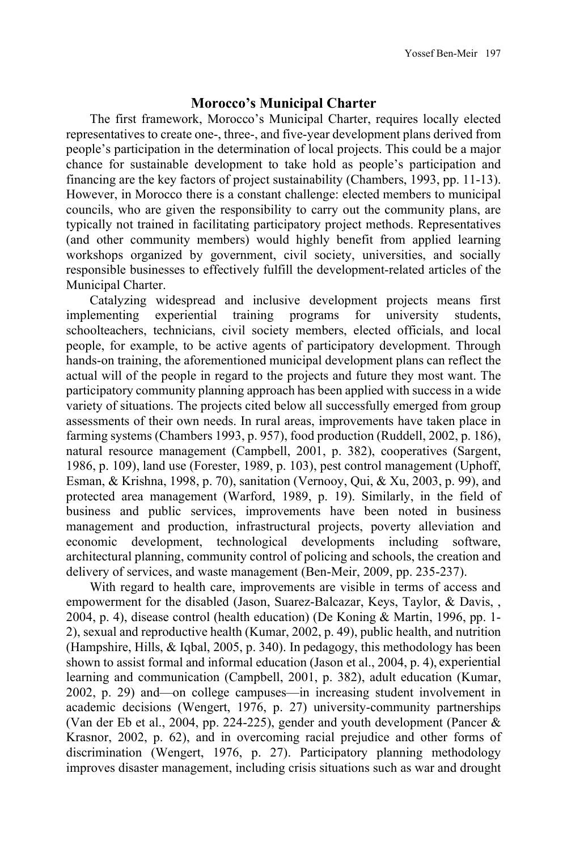### **Morocco's Municipal Charter**

The first framework, Morocco's Municipal Charter, requires locally elected representatives to create one-, three-, and five-year development plans derived from people's participation in the determination of local projects. This could be a major chance for sustainable development to take hold as people's participation and financing are the key factors of project sustainability (Chambers, 1993, pp. 11-13). However, in Morocco there is a constant challenge: elected members to municipal councils, who are given the responsibility to carry out the community plans, are typically not trained in facilitating participatory project methods. Representatives (and other community members) would highly benefit from applied learning workshops organized by government, civil society, universities, and socially responsible businesses to effectively fulfill the development-related articles of the Municipal Charter.

Catalyzing widespread and inclusive development projects means first implementing experiential training programs for university students, schoolteachers, technicians, civil society members, elected officials, and local people, for example, to be active agents of participatory development. Through hands-on training, the aforementioned municipal development plans can reflect the actual will of the people in regard to the projects and future they most want. The participatory community planning approach has been applied with success in a wide variety of situations. The projects cited below all successfully emerged from group assessments of their own needs. In rural areas, improvements have taken place in farming systems (Chambers 1993, p. 957), food production (Ruddell, 2002, p. 186), natural resource management (Campbell, 2001, p. 382), cooperatives (Sargent, 1986, p. 109), land use (Forester, 1989, p. 103), pest control management (Uphoff, Esman, & Krishna, 1998, p. 70), sanitation (Vernooy, Qui, & Xu, 2003, p. 99), and protected area management (Warford, 1989, p. 19). Similarly, in the field of business and public services, improvements have been noted in business management and production, infrastructural projects, poverty alleviation and economic development, technological developments including software, architectural planning, community control of policing and schools, the creation and delivery of services, and waste management (Ben-Meir, 2009, pp. 235-237).

With regard to health care, improvements are visible in terms of access and empowerment for the disabled (Jason, Suarez-Balcazar, Keys, Taylor, & Davis, , 2004, p. 4), disease control (health education) (De Koning & Martin, 1996, pp. 1- 2), sexual and reproductive health (Kumar, 2002, p. 49), public health, and nutrition (Hampshire, Hills, & Iqbal, 2005, p. 340). In pedagogy, this methodology has been shown to assist formal and informal education (Jason et al., 2004, p. 4), experiential learning and communication (Campbell, 2001, p. 382), adult education (Kumar, 2002, p. 29) and—on college campuses—in increasing student involvement in academic decisions (Wengert, 1976, p. 27) university-community partnerships (Van der Eb et al., 2004, pp. 224-225), gender and youth development (Pancer & Krasnor, 2002, p. 62), and in overcoming racial prejudice and other forms of discrimination (Wengert, 1976, p. 27). Participatory planning methodology improves disaster management, including crisis situations such as war and drought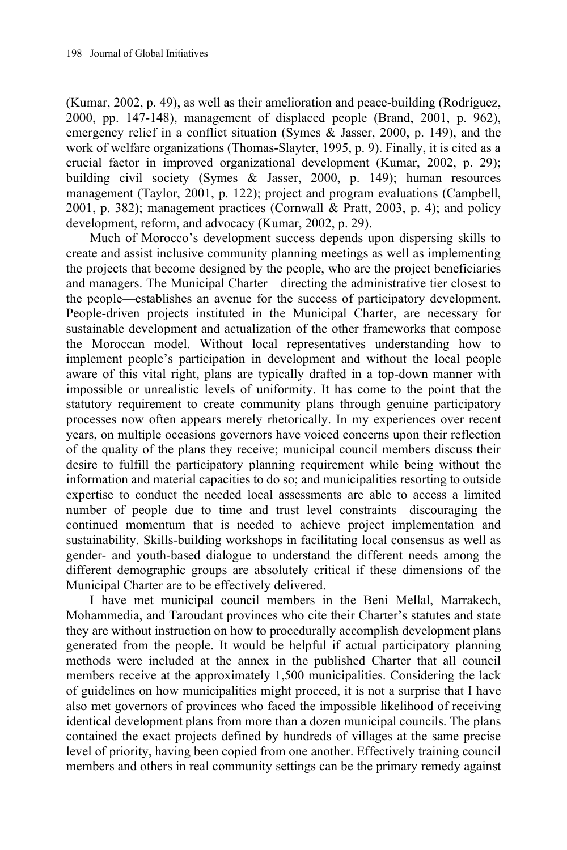(Kumar, 2002, p. 49), as well as their amelioration and peace-building (Rodríguez, 2000, pp. 147-148), management of displaced people (Brand, 2001, p. 962), emergency relief in a conflict situation (Symes & Jasser, 2000, p. 149), and the work of welfare organizations (Thomas-Slayter, 1995, p. 9). Finally, it is cited as a crucial factor in improved organizational development (Kumar, 2002, p. 29); building civil society (Symes & Jasser, 2000, p. 149); human resources management (Taylor, 2001, p. 122); project and program evaluations (Campbell, 2001, p. 382); management practices (Cornwall & Pratt, 2003, p. 4); and policy development, reform, and advocacy (Kumar, 2002, p. 29).

Much of Morocco's development success depends upon dispersing skills to create and assist inclusive community planning meetings as well as implementing the projects that become designed by the people, who are the project beneficiaries and managers. The Municipal Charter—directing the administrative tier closest to the people—establishes an avenue for the success of participatory development. People-driven projects instituted in the Municipal Charter, are necessary for sustainable development and actualization of the other frameworks that compose the Moroccan model. Without local representatives understanding how to implement people's participation in development and without the local people aware of this vital right, plans are typically drafted in a top-down manner with impossible or unrealistic levels of uniformity. It has come to the point that the statutory requirement to create community plans through genuine participatory processes now often appears merely rhetorically. In my experiences over recent years, on multiple occasions governors have voiced concerns upon their reflection of the quality of the plans they receive; municipal council members discuss their desire to fulfill the participatory planning requirement while being without the information and material capacities to do so; and municipalities resorting to outside expertise to conduct the needed local assessments are able to access a limited number of people due to time and trust level constraints—discouraging the continued momentum that is needed to achieve project implementation and sustainability. Skills-building workshops in facilitating local consensus as well as gender- and youth-based dialogue to understand the different needs among the different demographic groups are absolutely critical if these dimensions of the Municipal Charter are to be effectively delivered.

I have met municipal council members in the Beni Mellal, Marrakech, Mohammedia, and Taroudant provinces who cite their Charter's statutes and state they are without instruction on how to procedurally accomplish development plans generated from the people. It would be helpful if actual participatory planning methods were included at the annex in the published Charter that all council members receive at the approximately 1,500 municipalities. Considering the lack of guidelines on how municipalities might proceed, it is not a surprise that I have also met governors of provinces who faced the impossible likelihood of receiving identical development plans from more than a dozen municipal councils. The plans contained the exact projects defined by hundreds of villages at the same precise level of priority, having been copied from one another. Effectively training council members and others in real community settings can be the primary remedy against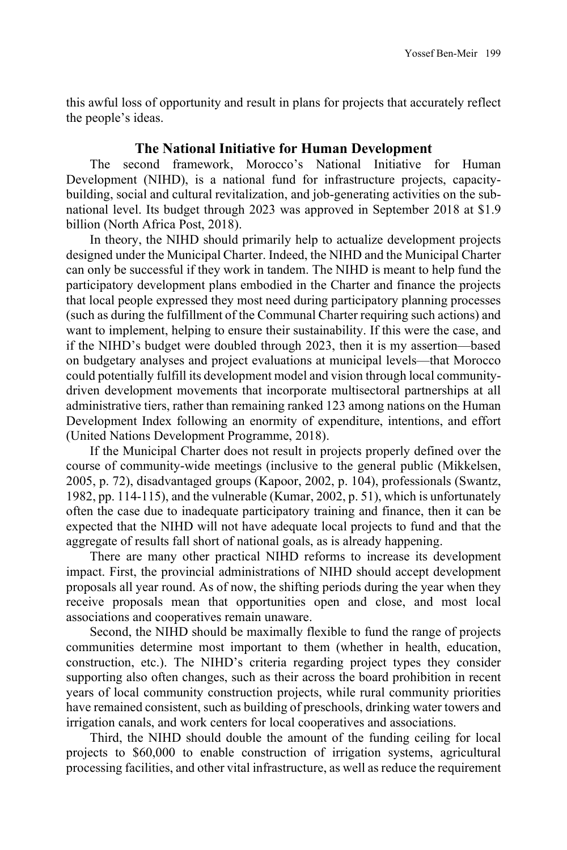this awful loss of opportunity and result in plans for projects that accurately reflect the people's ideas.

### **The National Initiative for Human Development**

The second framework, Morocco's National Initiative for Human Development (NIHD), is a national fund for infrastructure projects, capacitybuilding, social and cultural revitalization, and job-generating activities on the subnational level. Its budget through 2023 was approved in September 2018 at \$1.9 billion (North Africa Post, 2018).

In theory, the NIHD should primarily help to actualize development projects designed under the Municipal Charter. Indeed, the NIHD and the Municipal Charter can only be successful if they work in tandem. The NIHD is meant to help fund the participatory development plans embodied in the Charter and finance the projects that local people expressed they most need during participatory planning processes (such as during the fulfillment of the Communal Charter requiring such actions) and want to implement, helping to ensure their sustainability. If this were the case, and if the NIHD's budget were doubled through 2023, then it is my assertion—based on budgetary analyses and project evaluations at municipal levels—that Morocco could potentially fulfill its development model and vision through local communitydriven development movements that incorporate multisectoral partnerships at all administrative tiers, rather than remaining ranked 123 among nations on the Human Development Index following an enormity of expenditure, intentions, and effort (United Nations Development Programme, 2018).

If the Municipal Charter does not result in projects properly defined over the course of community-wide meetings (inclusive to the general public (Mikkelsen, 2005, p. 72), disadvantaged groups (Kapoor, 2002, p. 104), professionals (Swantz, 1982, pp. 114-115), and the vulnerable (Kumar, 2002, p. 51), which is unfortunately often the case due to inadequate participatory training and finance, then it can be expected that the NIHD will not have adequate local projects to fund and that the aggregate of results fall short of national goals, as is already happening.

There are many other practical NIHD reforms to increase its development impact. First, the provincial administrations of NIHD should accept development proposals all year round. As of now, the shifting periods during the year when they receive proposals mean that opportunities open and close, and most local associations and cooperatives remain unaware.

Second, the NIHD should be maximally flexible to fund the range of projects communities determine most important to them (whether in health, education, construction, etc.). The NIHD's criteria regarding project types they consider supporting also often changes, such as their across the board prohibition in recent years of local community construction projects, while rural community priorities have remained consistent, such as building of preschools, drinking water towers and irrigation canals, and work centers for local cooperatives and associations.

Third, the NIHD should double the amount of the funding ceiling for local projects to \$60,000 to enable construction of irrigation systems, agricultural processing facilities, and other vital infrastructure, as well as reduce the requirement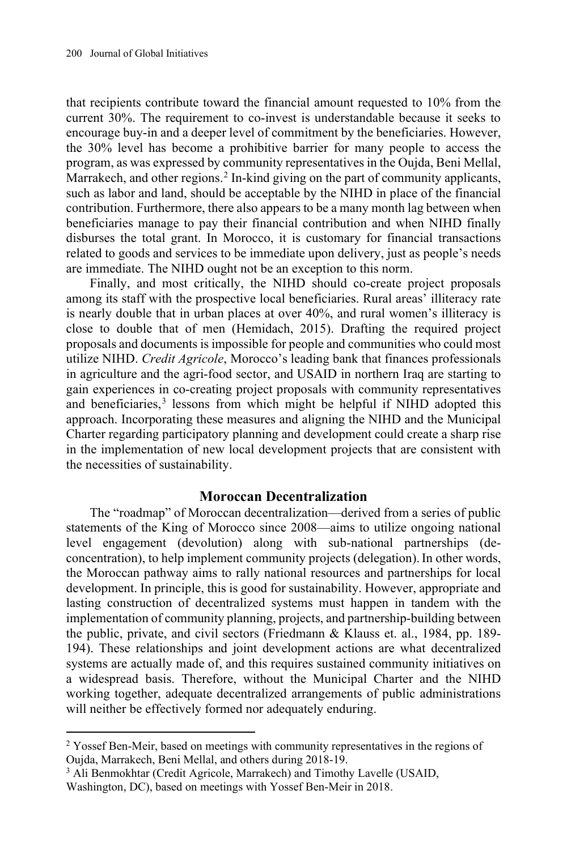that recipients contribute toward the financial amount requested to 10% from the current 30%. The requirement to co-invest is understandable because it seeks to encourage buy-in and a deeper level of commitment by the beneficiaries. However, the 30% level has become a prohibitive barrier for many people to access the program, as was expressed by community representatives in the Oujda, Beni Mellal, Marrakech, and other regions.<sup>[2](#page-10-0)</sup> In-kind giving on the part of community applicants, such as labor and land, should be acceptable by the NIHD in place of the financial contribution. Furthermore, there also appears to be a many month lag between when beneficiaries manage to pay their financial contribution and when NIHD finally disburses the total grant. In Morocco, it is customary for financial transactions related to goods and services to be immediate upon delivery, just as people's needs are immediate. The NIHD ought not be an exception to this norm.

Finally, and most critically, the NIHD should co-create project proposals among its staff with the prospective local beneficiaries. Rural areas' illiteracy rate is nearly double that in urban places at over 40%, and rural women's illiteracy is close to double that of men (Hemidach, 2015). Drafting the required project proposals and documents is impossible for people and communities who could most utilize NIHD. *Credit Agricole*, Morocco's leading bank that finances professionals in agriculture and the agri-food sector, and USAID in northern Iraq are starting to gain experiences in co-creating project proposals with community representatives and beneficiaries, $3$  lessons from which might be helpful if NIHD adopted this approach. Incorporating these measures and aligning the NIHD and the Municipal Charter regarding participatory planning and development could create a sharp rise in the implementation of new local development projects that are consistent with the necessities of sustainability.

#### **Moroccan Decentralization**

The "roadmap" of Moroccan decentralization—derived from a series of public statements of the King of Morocco since 2008—aims to utilize ongoing national level engagement (devolution) along with sub-national partnerships (deconcentration), to help implement community projects (delegation).In other words, the Moroccan pathway aims to rally national resources and partnerships for local development. In principle, this is good for sustainability. However, appropriate and lasting construction of decentralized systems must happen in tandem with the implementation of community planning, projects, and partnership-building between the public, private, and civil sectors (Friedmann & Klauss et. al., 1984, pp. 189- 194). These relationships and joint development actions are what decentralized systems are actually made of, and this requires sustained community initiatives on a widespread basis. Therefore, without the Municipal Charter and the NIHD working together, adequate decentralized arrangements of public administrations will neither be effectively formed nor adequately enduring.

<span id="page-10-0"></span> $2$  Yossef Ben-Meir, based on meetings with community representatives in the regions of Oujda, Marrakech, Beni Mellal, and others during 2018-19.

<span id="page-10-1"></span><sup>&</sup>lt;sup>3</sup> Ali Benmokhtar (Credit Agricole, Marrakech) and Timothy Lavelle (USAID,

Washington, DC), based on meetings with Yossef Ben-Meir in 2018.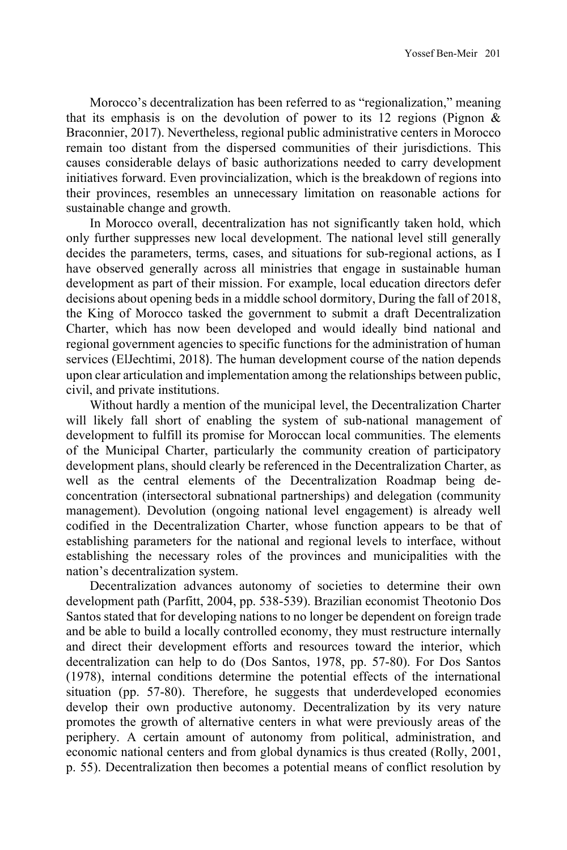Morocco's decentralization has been referred to as "regionalization," meaning that its emphasis is on the devolution of power to its 12 regions (Pignon  $\&$ Braconnier, 2017). Nevertheless, regional public administrative centers in Morocco remain too distant from the dispersed communities of their jurisdictions. This causes considerable delays of basic authorizations needed to carry development initiatives forward. Even provincialization, which is the breakdown of regions into their provinces, resembles an unnecessary limitation on reasonable actions for sustainable change and growth.

In Morocco overall, decentralization has not significantly taken hold, which only further suppresses new local development. The national level still generally decides the parameters, terms, cases, and situations for sub-regional actions, as I have observed generally across all ministries that engage in sustainable human development as part of their mission. For example, local education directors defer decisions about opening beds in a middle school dormitory, During the fall of 2018, the King of Morocco tasked the government to submit a draft Decentralization Charter, which has now been developed and would ideally bind national and regional government agencies to specific functions for the administration of human services (ElJechtimi, 2018). The human development course of the nation depends upon clear articulation and implementation among the relationships between public, civil, and private institutions.

Without hardly a mention of the municipal level, the Decentralization Charter will likely fall short of enabling the system of sub-national management of development to fulfill its promise for Moroccan local communities. The elements of the Municipal Charter, particularly the community creation of participatory development plans, should clearly be referenced in the Decentralization Charter, as well as the central elements of the Decentralization Roadmap being deconcentration (intersectoral subnational partnerships) and delegation (community management). Devolution (ongoing national level engagement) is already well codified in the Decentralization Charter, whose function appears to be that of establishing parameters for the national and regional levels to interface, without establishing the necessary roles of the provinces and municipalities with the nation's decentralization system.

Decentralization advances autonomy of societies to determine their own development path (Parfitt, 2004, pp. 538-539). Brazilian economist Theotonio Dos Santos stated that for developing nations to no longer be dependent on foreign trade and be able to build a locally controlled economy, they must restructure internally and direct their development efforts and resources toward the interior, which decentralization can help to do (Dos Santos, 1978, pp. 57-80). For Dos Santos (1978), internal conditions determine the potential effects of the international situation (pp. 57-80). Therefore, he suggests that underdeveloped economies develop their own productive autonomy. Decentralization by its very nature promotes the growth of alternative centers in what were previously areas of the periphery. A certain amount of autonomy from political, administration, and economic national centers and from global dynamics is thus created (Rolly, 2001, p. 55). Decentralization then becomes a potential means of conflict resolution by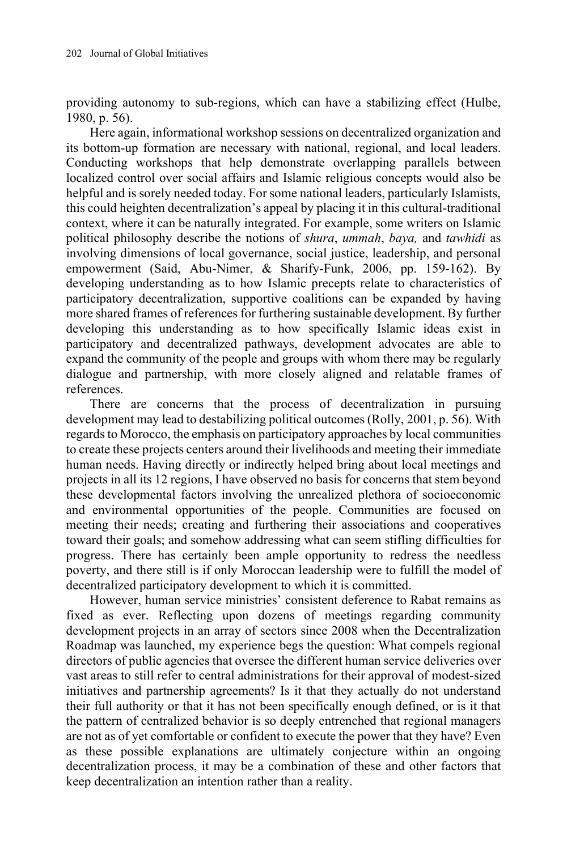providing autonomy to sub-regions, which can have a stabilizing effect (Hulbe, 1980, p. 56).

Here again, informational workshop sessions on decentralized organization and its bottom-up formation are necessary with national, regional, and local leaders. Conducting workshops that help demonstrate overlapping parallels between localized control over social affairs and Islamic religious concepts would also be helpful and is sorely needed today. For some national leaders, particularly Islamists, this could heighten decentralization's appeal by placing it in this cultural-traditional context, where it can be naturally integrated. For example, some writers on Islamic political philosophy describe the notions of *shura*, *ummah*, *baya,* and *tawhidi* as involving dimensions of local governance, social justice, leadership, and personal empowerment (Said, Abu-Nimer, & Sharify-Funk, 2006, pp. 159-162). By developing understanding as to how Islamic precepts relate to characteristics of participatory decentralization, supportive coalitions can be expanded by having more shared frames of references for furthering sustainable development. By further developing this understanding as to how specifically Islamic ideas exist in participatory and decentralized pathways, development advocates are able to expand the community of the people and groups with whom there may be regularly dialogue and partnership, with more closely aligned and relatable frames of references.

There are concerns that the process of decentralization in pursuing development may lead to destabilizing political outcomes (Rolly, 2001, p. 56). With regards to Morocco, the emphasis on participatory approaches by local communities to create these projects centers around their livelihoods and meeting their immediate human needs. Having directly or indirectly helped bring about local meetings and projects in all its 12 regions, I have observed no basis for concerns that stem beyond these developmental factors involving the unrealized plethora of socioeconomic and environmental opportunities of the people. Communities are focused on meeting their needs; creating and furthering their associations and cooperatives toward their goals; and somehow addressing what can seem stifling difficulties for progress. There has certainly been ample opportunity to redress the needless poverty, and there still is if only Moroccan leadership were to fulfill the model of decentralized participatory development to which it is committed.

However, human service ministries' consistent deference to Rabat remains as fixed as ever. Reflecting upon dozens of meetings regarding community development projects in an array of sectors since 2008 when the Decentralization Roadmap was launched, my experience begs the question: What compels regional directors of public agencies that oversee the different human service deliveries over vast areas to still refer to central administrations for their approval of modest-sized initiatives and partnership agreements? Is it that they actually do not understand their full authority or that it has not been specifically enough defined, or is it that the pattern of centralized behavior is so deeply entrenched that regional managers are not as of yet comfortable or confident to execute the power that they have? Even as these possible explanations are ultimately conjecture within an ongoing decentralization process, it may be a combination of these and other factors that keep decentralization an intention rather than a reality.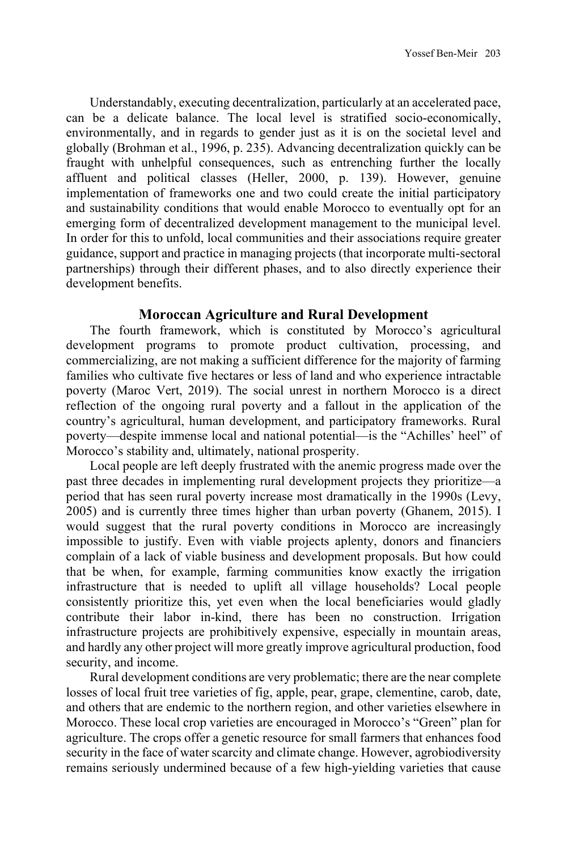Understandably, executing decentralization, particularly at an accelerated pace, can be a delicate balance. The local level is stratified socio-economically, environmentally, and in regards to gender just as it is on the societal level and globally (Brohman et al., 1996, p. 235). Advancing decentralization quickly can be fraught with unhelpful consequences, such as entrenching further the locally affluent and political classes (Heller, 2000, p. 139). However, genuine implementation of frameworks one and two could create the initial participatory and sustainability conditions that would enable Morocco to eventually opt for an emerging form of decentralized development management to the municipal level. In order for this to unfold, local communities and their associations require greater guidance, support and practice in managing projects (that incorporate multi-sectoral partnerships) through their different phases, and to also directly experience their development benefits.

## **Moroccan Agriculture and Rural Development**

The fourth framework, which is constituted by Morocco's agricultural development programs to promote product cultivation, processing, and commercializing, are not making a sufficient difference for the majority of farming families who cultivate five hectares or less of land and who experience intractable poverty (Maroc Vert, 2019). The social unrest in northern Morocco is a direct reflection of the ongoing rural poverty and a fallout in the application of the country's agricultural, human development, and participatory frameworks. Rural poverty—despite immense local and national potential—is the "Achilles' heel" of Morocco's stability and, ultimately, national prosperity.

Local people are left deeply frustrated with the anemic progress made over the past three decades in implementing rural development projects they prioritize—a period that has seen rural poverty increase most dramatically in the 1990s (Levy, 2005) and is currently three times higher than urban poverty (Ghanem, 2015). I would suggest that the rural poverty conditions in Morocco are increasingly impossible to justify. Even with viable projects aplenty, donors and financiers complain of a lack of viable business and development proposals. But how could that be when, for example, farming communities know exactly the irrigation infrastructure that is needed to uplift all village households? Local people consistently prioritize this, yet even when the local beneficiaries would gladly contribute their labor in-kind, there has been no construction. Irrigation infrastructure projects are prohibitively expensive, especially in mountain areas, and hardly any other project will more greatly improve agricultural production, food security, and income.

Rural development conditions are very problematic; there are the near complete losses of local fruit tree varieties of fig, apple, pear, grape, clementine, carob, date, and others that are endemic to the northern region, and other varieties elsewhere in Morocco. These local crop varieties are encouraged in Morocco's "Green" plan for agriculture. The crops offer a genetic resource for small farmers that enhances food security in the face of water scarcity and climate change. However, agrobiodiversity remains seriously undermined because of a few high-yielding varieties that cause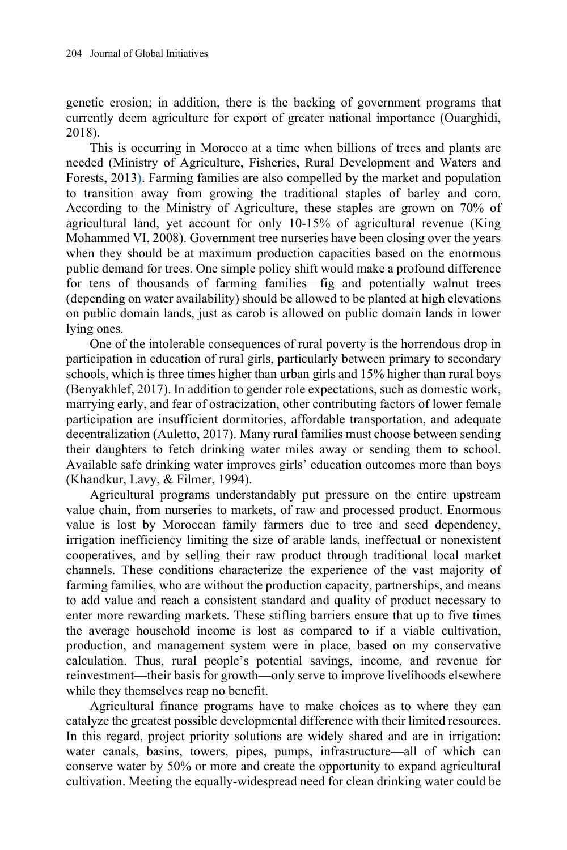genetic erosion; in addition, there is the backing of government programs that currently deem agriculture for export of greater national importance (Ouarghidi, 2018).

This is occurring in Morocco at a time when billions of trees and plants are needed (Ministry of Agriculture, Fisheries, Rural Development and Waters and Forests, 2013). Farming families are also compelled by the market and population to transition away from growing the traditional staples of barley and corn. According to the Ministry of Agriculture, these staples are grown on 70% of agricultural land, yet account for only 10-15% of agricultural revenue (King Mohammed VI, 2008). Government tree nurseries have been closing over the years when they should be at maximum production capacities based on the enormous public demand for trees. One simple policy shift would make a profound difference for tens of thousands of farming families—fig and potentially walnut trees (depending on water availability) should be allowed to be planted at high elevations on public domain lands, just as carob is allowed on public domain lands in lower lying ones.

One of the intolerable consequences of rural poverty is the horrendous drop in participation in education of rural girls, particularly between primary to secondary schools, which is three times higher than urban girls and 15% higher than rural boys (Benyakhlef, 2017). In addition to gender role expectations, such as domestic work, marrying early, and fear of ostracization, other contributing factors of lower female participation are insufficient dormitories, affordable transportation, and adequate decentralization (Auletto, 2017). Many rural families must choose between sending their daughters to fetch drinking water miles away or sending them to school. Available safe drinking water improves girls' education outcomes more than boys (Khandkur, Lavy, & Filmer, 1994).

Agricultural programs understandably put pressure on the entire upstream value chain, from nurseries to markets, of raw and processed product. Enormous value is lost by Moroccan family farmers due to tree and seed dependency, irrigation inefficiency limiting the size of arable lands, ineffectual or nonexistent cooperatives, and by selling their raw product through traditional local market channels. These conditions characterize the experience of the vast majority of farming families, who are without the production capacity, partnerships, and means to add value and reach a consistent standard and quality of product necessary to enter more rewarding markets. These stifling barriers ensure that up to five times the average household income is lost as compared to if a viable cultivation, production, and management system were in place, based on my conservative calculation. Thus, rural people's potential savings, income, and revenue for reinvestment—their basis for growth—only serve to improve livelihoods elsewhere while they themselves reap no benefit.

Agricultural finance programs have to make choices as to where they can catalyze the greatest possible developmental difference with their limited resources. In this regard, project priority solutions are widely shared and are in irrigation: water canals, basins, towers, pipes, pumps, infrastructure—all of which can conserve water by 50% or more and create the opportunity to expand agricultural cultivation. Meeting the equally-widespread need for clean drinking water could be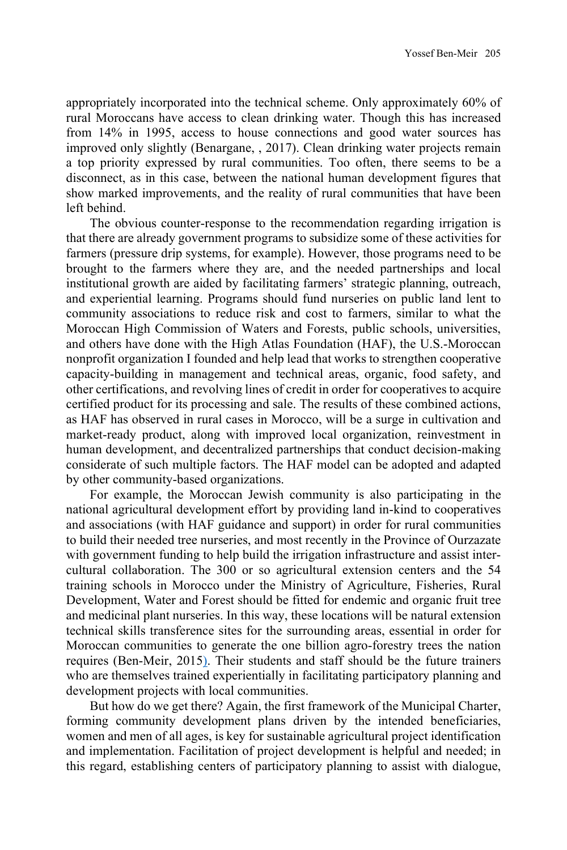appropriately incorporated into the technical scheme. Only approximately 60% of rural Moroccans have access to clean drinking water. Though this has increased from 14% in 1995, access to house connections and good water sources has improved only slightly (Benargane, , 2017). Clean drinking water projects remain a top priority expressed by rural communities. Too often, there seems to be a disconnect, as in this case, between the national human development figures that show marked improvements, and the reality of rural communities that have been left behind.

The obvious counter-response to the recommendation regarding irrigation is that there are already government programs to subsidize some of these activities for farmers (pressure drip systems, for example). However, those programs need to be brought to the farmers where they are, and the needed partnerships and local institutional growth are aided by facilitating farmers' strategic planning, outreach, and experiential learning. Programs should fund nurseries on public land lent to community associations to reduce risk and cost to farmers, similar to what the Moroccan High Commission of Waters and Forests, public schools, universities, and others have done with the High Atlas Foundation (HAF), the U.S.-Moroccan nonprofit organization I founded and help lead that works to strengthen cooperative capacity-building in management and technical areas, organic, food safety, and other certifications, and revolving lines of credit in order for cooperatives to acquire certified product for its processing and sale. The results of these combined actions, as HAF has observed in rural cases in Morocco, will be a surge in cultivation and market-ready product, along with improved local organization, reinvestment in human development, and decentralized partnerships that conduct decision-making considerate of such multiple factors. The HAF model can be adopted and adapted by other community-based organizations.

For example, the Moroccan Jewish community is also participating in the national agricultural development effort by providing land in-kind to cooperatives and associations (with HAF guidance and support) in order for rural communities to build their needed tree nurseries, and most recently in the Province of Ourzazate with government funding to help build the irrigation infrastructure and assist intercultural collaboration. The 300 or so agricultural extension centers and the 54 training schools in Morocco under the Ministry of Agriculture, Fisheries, Rural Development, Water and Forest should be fitted for endemic and organic fruit tree and medicinal plant nurseries. In this way, these locations will be natural extension technical skills transference sites for the surrounding areas, essential in order for Moroccan communities to generate the one billion agro-forestry trees the nation requires (Ben-Meir, 2015). Their students and staff should be the future trainers who are themselves trained experientially in facilitating participatory planning and development projects with local communities.

But how do we get there? Again, the first framework of the Municipal Charter, forming community development plans driven by the intended beneficiaries, women and men of all ages, is key for sustainable agricultural project identification and implementation. Facilitation of project development is helpful and needed; in this regard, establishing centers of participatory planning to assist with dialogue,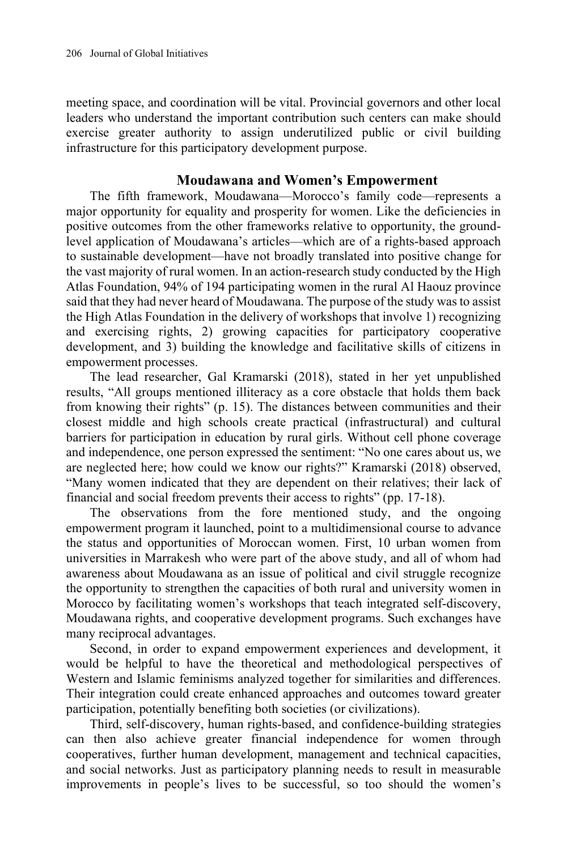meeting space, and coordination will be vital. Provincial governors and other local leaders who understand the important contribution such centers can make should exercise greater authority to assign underutilized public or civil building infrastructure for this participatory development purpose.

## **Moudawana and Women's Empowerment**

The fifth framework, Moudawana—Morocco's family code—represents a major opportunity for equality and prosperity for women. Like the deficiencies in positive outcomes from the other frameworks relative to opportunity, the groundlevel application of Moudawana's articles—which are of a rights-based approach to sustainable development—have not broadly translated into positive change for the vast majority of rural women. In an action-research study conducted by the High Atlas Foundation, 94% of 194 participating women in the rural Al Haouz province said that they had never heard of Moudawana. The purpose of the study was to assist the High Atlas Foundation in the delivery of workshops that involve 1) recognizing and exercising rights, 2) growing capacities for participatory cooperative development, and 3) building the knowledge and facilitative skills of citizens in empowerment processes.

The lead researcher, Gal Kramarski (2018), stated in her yet unpublished results, "All groups mentioned illiteracy as a core obstacle that holds them back from knowing their rights" (p. 15). The distances between communities and their closest middle and high schools create practical (infrastructural) and cultural barriers for participation in education by rural girls. Without cell phone coverage and independence, one person expressed the sentiment: "No one cares about us, we are neglected here; how could we know our rights?" Kramarski (2018) observed, "Many women indicated that they are dependent on their relatives; their lack of financial and social freedom prevents their access to rights" (pp. 17-18).

The observations from the fore mentioned study, and the ongoing empowerment program it launched, point to a multidimensional course to advance the status and opportunities of Moroccan women. First, 10 urban women from universities in Marrakesh who were part of the above study, and all of whom had awareness about Moudawana as an issue of political and civil struggle recognize the opportunity to strengthen the capacities of both rural and university women in Morocco by facilitating women's workshops that teach integrated self-discovery, Moudawana rights, and cooperative development programs. Such exchanges have many reciprocal advantages.

Second, in order to expand empowerment experiences and development, it would be helpful to have the theoretical and methodological perspectives of Western and Islamic feminisms analyzed together for similarities and differences. Their integration could create enhanced approaches and outcomes toward greater participation, potentially benefiting both societies (or civilizations).

Third, self-discovery, human rights-based, and confidence-building strategies can then also achieve greater financial independence for women through cooperatives, further human development, management and technical capacities, and social networks. Just as participatory planning needs to result in measurable improvements in people's lives to be successful, so too should the women's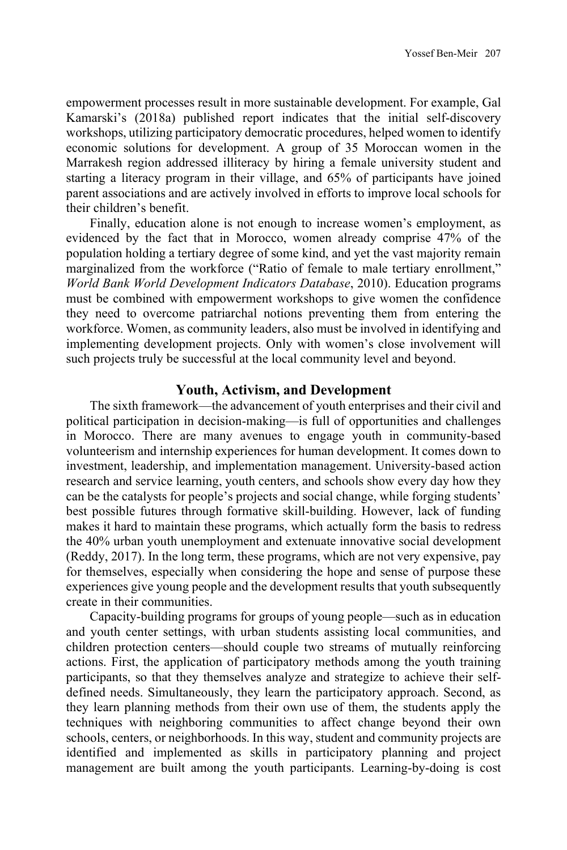empowerment processes result in more sustainable development. For example, Gal Kamarski's (2018a) published report indicates that the initial self-discovery workshops, utilizing participatory democratic procedures, helped women to identify economic solutions for development. A group of 35 Moroccan women in the Marrakesh region addressed illiteracy by hiring a female university student and starting a literacy program in their village, and 65% of participants have joined parent associations and are actively involved in efforts to improve local schools for their children's benefit.

Finally, education alone is not enough to increase women's employment, as evidenced by the fact that in Morocco, women already comprise 47% of the population holding a tertiary degree of some kind, and yet the vast majority remain marginalized from the workforce ("Ratio of female to male tertiary enrollment," *World Bank World Development Indicators Database*, 2010). Education programs must be combined with empowerment workshops to give women the confidence they need to overcome patriarchal notions preventing them from entering the workforce. Women, as community leaders, also must be involved in identifying and implementing development projects. Only with women's close involvement will such projects truly be successful at the local community level and beyond.

# **Youth, Activism, and Development**

The sixth framework—the advancement of youth enterprises and their civil and political participation in decision-making—is full of opportunities and challenges in Morocco. There are many avenues to engage youth in community-based volunteerism and internship experiences for human development. It comes down to investment, leadership, and implementation management. University-based action research and service learning, youth centers, and schools show every day how they can be the catalysts for people's projects and social change, while forging students' best possible futures through formative skill-building. However, lack of funding makes it hard to maintain these programs, which actually form the basis to redress the 40% urban youth unemployment and extenuate innovative social development (Reddy, 2017). In the long term, these programs, which are not very expensive, pay for themselves, especially when considering the hope and sense of purpose these experiences give young people and the development results that youth subsequently create in their communities.

Capacity-building programs for groups of young people—such as in education and youth center settings, with urban students assisting local communities, and children protection centers—should couple two streams of mutually reinforcing actions. First, the application of participatory methods among the youth training participants, so that they themselves analyze and strategize to achieve their selfdefined needs. Simultaneously, they learn the participatory approach. Second, as they learn planning methods from their own use of them, the students apply the techniques with neighboring communities to affect change beyond their own schools, centers, or neighborhoods. In this way, student and community projects are identified and implemented as skills in participatory planning and project management are built among the youth participants. Learning-by-doing is cost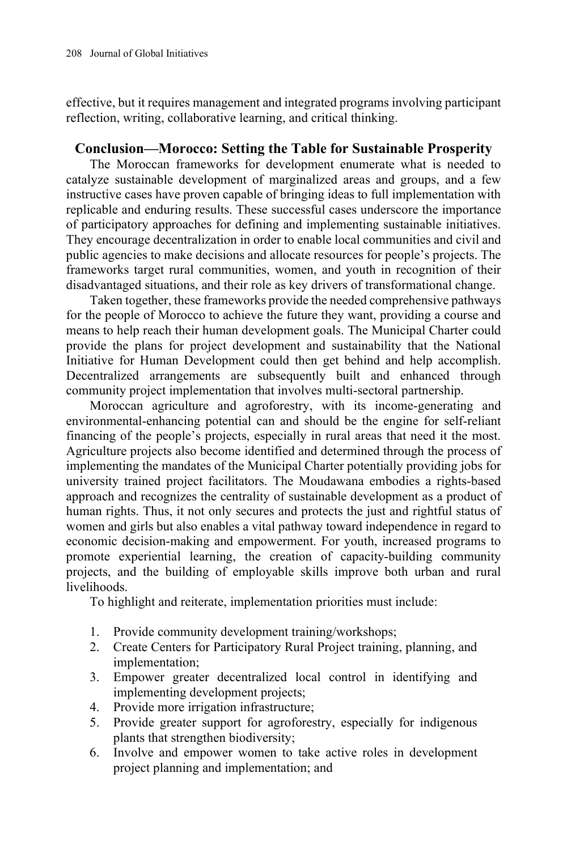effective, but it requires management and integrated programs involving participant reflection, writing, collaborative learning, and critical thinking.

# **Conclusion—Morocco: Setting the Table for Sustainable Prosperity**

The Moroccan frameworks for development enumerate what is needed to catalyze sustainable development of marginalized areas and groups, and a few instructive cases have proven capable of bringing ideas to full implementation with replicable and enduring results. These successful cases underscore the importance of participatory approaches for defining and implementing sustainable initiatives. They encourage decentralization in order to enable local communities and civil and public agencies to make decisions and allocate resources for people's projects. The frameworks target rural communities, women, and youth in recognition of their disadvantaged situations, and their role as key drivers of transformational change.

Taken together, these frameworks provide the needed comprehensive pathways for the people of Morocco to achieve the future they want, providing a course and means to help reach their human development goals. The Municipal Charter could provide the plans for project development and sustainability that the National Initiative for Human Development could then get behind and help accomplish. Decentralized arrangements are subsequently built and enhanced through community project implementation that involves multi-sectoral partnership.

Moroccan agriculture and agroforestry, with its income-generating and environmental-enhancing potential can and should be the engine for self-reliant financing of the people's projects, especially in rural areas that need it the most. Agriculture projects also become identified and determined through the process of implementing the mandates of the Municipal Charter potentially providing jobs for university trained project facilitators. The Moudawana embodies a rights-based approach and recognizes the centrality of sustainable development as a product of human rights. Thus, it not only secures and protects the just and rightful status of women and girls but also enables a vital pathway toward independence in regard to economic decision-making and empowerment. For youth, increased programs to promote experiential learning, the creation of capacity-building community projects, and the building of employable skills improve both urban and rural livelihoods.

To highlight and reiterate, implementation priorities must include:

- 1. Provide community development training/workshops;
- 2. Create Centers for Participatory Rural Project training, planning, and implementation;
- 3. Empower greater decentralized local control in identifying and implementing development projects;
- 4. Provide more irrigation infrastructure;
- 5. Provide greater support for agroforestry, especially for indigenous plants that strengthen biodiversity;
- 6. Involve and empower women to take active roles in development project planning and implementation; and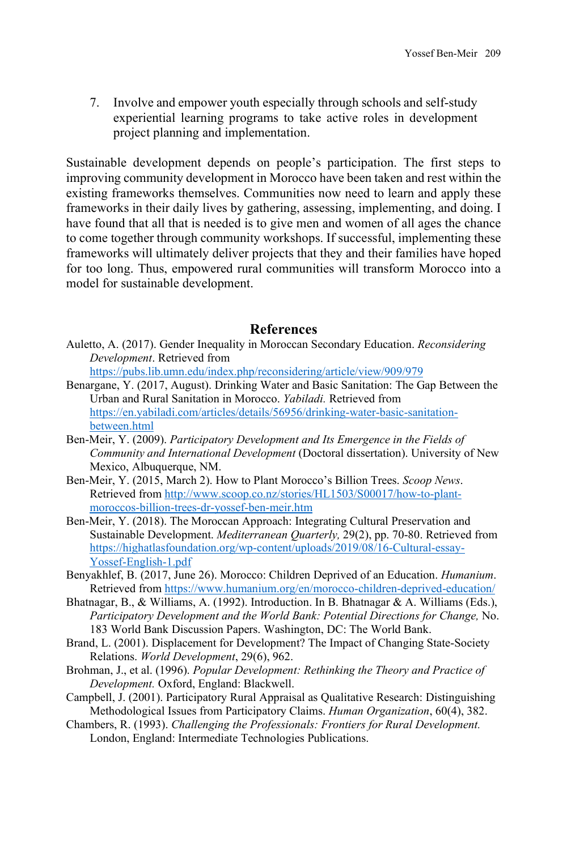7. Involve and empower youth especially through schools and self-study experiential learning programs to take active roles in development project planning and implementation.

Sustainable development depends on people's participation. The first steps to improving community development in Morocco have been taken and rest within the existing frameworks themselves. Communities now need to learn and apply these frameworks in their daily lives by gathering, assessing, implementing, and doing. I have found that all that is needed is to give men and women of all ages the chance to come together through community workshops. If successful, implementing these frameworks will ultimately deliver projects that they and their families have hoped for too long. Thus, empowered rural communities will transform Morocco into a model for sustainable development.

## **References**

Auletto, A. (2017). Gender Inequality in Moroccan Secondary Education. *Reconsidering Development*. Retrieved from

<https://pubs.lib.umn.edu/index.php/reconsidering/article/view/909/979>

- Benargane, Y. (2017, August). Drinking Water and Basic Sanitation: The Gap Between the Urban and Rural Sanitation in Morocco. *Yabiladi.* Retrieved from [https://en.yabiladi.com/articles/details/56956/drinking-water-basic-sanitation](https://en.yabiladi.com/articles/details/56956/drinking-water-basic-sanitation-between.html)[between.html](https://en.yabiladi.com/articles/details/56956/drinking-water-basic-sanitation-between.html)
- Ben-Meir, Y. (2009). *Participatory Development and Its Emergence in the Fields of Community and International Development* (Doctoral dissertation). University of New Mexico, Albuquerque, NM.
- Ben-Meir, Y. (2015, March 2). How to Plant Morocco's Billion Trees. *Scoop News*. Retrieved fro[m http://www.scoop.co.nz/stories/HL1503/S00017/how-to-plant](http://www.scoop.co.nz/stories/HL1503/S00017/how-to-plant-moroccos-billion-trees-dr-yossef-ben-meir.htm)[moroccos-billion-trees-dr-yossef-ben-meir.htm](http://www.scoop.co.nz/stories/HL1503/S00017/how-to-plant-moroccos-billion-trees-dr-yossef-ben-meir.htm)
- Ben-Meir, Y. (2018). The Moroccan Approach: Integrating Cultural Preservation and Sustainable Development. *Mediterranean Quarterly,* 29(2), pp. 70-80. Retrieved from [https://highatlasfoundation.org/wp-content/uploads/2019/08/16-Cultural-essay-](https://highatlasfoundation.org/wp-content/uploads/2019/08/16-Cultural-essay-Yossef-English-1.pdf)[Yossef-English-1.pdf](https://highatlasfoundation.org/wp-content/uploads/2019/08/16-Cultural-essay-Yossef-English-1.pdf)
- Benyakhlef, B. (2017, June 26). Morocco: Children Deprived of an Education. *Humanium*. Retrieved fro[m https://www.humanium.org/en/morocco-children-deprived-education/](https://www.humanium.org/en/morocco-children-deprived-education/)
- Bhatnagar, B., & Williams, A. (1992). Introduction. In B. Bhatnagar & A. Williams (Eds.), *Participatory Development and the World Bank: Potential Directions for Change,* No. 183 World Bank Discussion Papers. Washington, DC: The World Bank.
- Brand, L. (2001). Displacement for Development? The Impact of Changing State-Society Relations. *World Development*, 29(6), 962.
- Brohman, J., et al. (1996). *Popular Development: Rethinking the Theory and Practice of Development.* Oxford, England: Blackwell.
- Campbell, J. (2001). Participatory Rural Appraisal as Qualitative Research: Distinguishing Methodological Issues from Participatory Claims. *Human Organization*, 60(4), 382.
- Chambers, R. (1993). *Challenging the Professionals: Frontiers for Rural Development.* London, England: Intermediate Technologies Publications.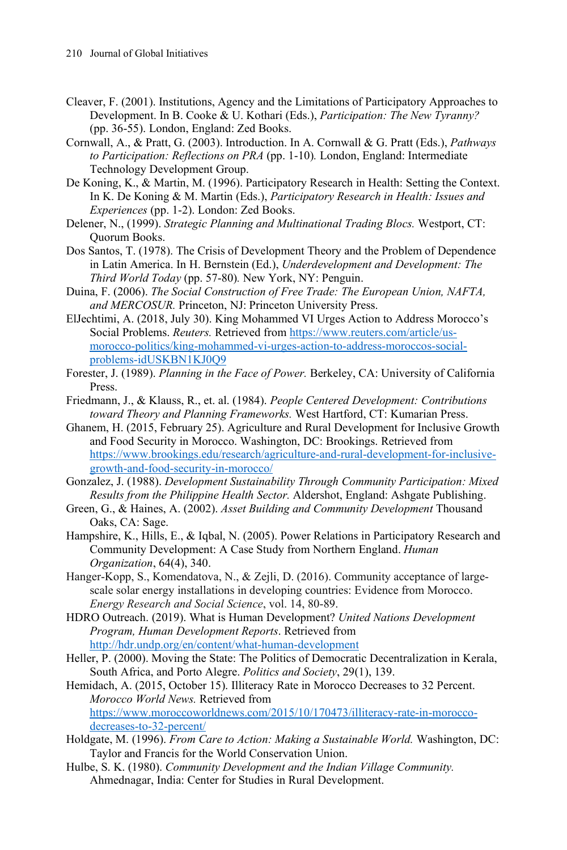- Cleaver, F. (2001). Institutions, Agency and the Limitations of Participatory Approaches to Development. In B. Cooke & U. Kothari (Eds.), *Participation: The New Tyranny?*  (pp. 36-55). London, England: Zed Books.
- Cornwall, A., & Pratt, G. (2003). Introduction. In A. Cornwall & G. Pratt (Eds.), *Pathways to Participation: Reflections on PRA* (pp. 1-10)*.* London, England: Intermediate Technology Development Group.
- De Koning, K., & Martin, M. (1996). Participatory Research in Health: Setting the Context. In K. De Koning & M. Martin (Eds.), *Participatory Research in Health: Issues and Experiences* (pp. 1-2). London: Zed Books.
- Delener, N., (1999). *Strategic Planning and Multinational Trading Blocs.* Westport, CT: Quorum Books.
- Dos Santos, T. (1978). The Crisis of Development Theory and the Problem of Dependence in Latin America. In H. Bernstein (Ed.), *Underdevelopment and Development: The Third World Today* (pp. 57-80)*.* New York, NY: Penguin.
- Duina, F. (2006). *The Social Construction of Free Trade: The European Union, NAFTA, and MERCOSUR.* Princeton, NJ: Princeton University Press.
- ElJechtimi, A. (2018, July 30). King Mohammed VI Urges Action to Address Morocco's Social Problems. *Reuters.* Retrieved fro[m https://www.reuters.com/article/us](https://www.reuters.com/article/us-morocco-politics/king-mohammed-vi-urges-action-to-address-moroccos-social-problems-idUSKBN1KJ0Q9)[morocco-politics/king-mohammed-vi-urges-action-to-address-moroccos-social](https://www.reuters.com/article/us-morocco-politics/king-mohammed-vi-urges-action-to-address-moroccos-social-problems-idUSKBN1KJ0Q9)[problems-idUSKBN1KJ0Q9](https://www.reuters.com/article/us-morocco-politics/king-mohammed-vi-urges-action-to-address-moroccos-social-problems-idUSKBN1KJ0Q9)
- Forester, J. (1989). *Planning in the Face of Power.* Berkeley, CA: University of California Press.
- Friedmann, J., & Klauss, R., et. al. (1984). *People Centered Development: Contributions toward Theory and Planning Frameworks.* West Hartford, CT: Kumarian Press.
- Ghanem, H. (2015, February 25). Agriculture and Rural Development for Inclusive Growth and Food Security in Morocco. Washington, DC: Brookings. Retrieved from [https://www.brookings.edu/research/agriculture-and-rural-development-for-inclusive](https://www.brookings.edu/research/agriculture-and-rural-development-for-inclusive-growth-and-food-security-in-morocco/)[growth-and-food-security-in-morocco/](https://www.brookings.edu/research/agriculture-and-rural-development-for-inclusive-growth-and-food-security-in-morocco/)
- Gonzalez, J. (1988). *Development Sustainability Through Community Participation: Mixed Results from the Philippine Health Sector.* Aldershot, England: Ashgate Publishing.
- Green, G., & Haines, A. (2002). *Asset Building and Community Development* Thousand Oaks, CA: Sage.
- Hampshire, K., Hills, E., & Iqbal, N. (2005). Power Relations in Participatory Research and Community Development: A Case Study from Northern England. *Human Organization*, 64(4), 340.
- Hanger-Kopp, S., Komendatova, N., & Zejli, D. (2016). Community acceptance of largescale solar energy installations in developing countries: Evidence from Morocco. *Energy Research and Social Science*, vol. 14, 80-89.
- HDRO Outreach. (2019). What is Human Development? *United Nations Development Program, Human Development Reports*. Retrieved from <http://hdr.undp.org/en/content/what-human-development>
- Heller, P. (2000). Moving the State: The Politics of Democratic Decentralization in Kerala, South Africa, and Porto Alegre. *Politics and Society*, 29(1), 139.
- Hemidach, A. (2015, October 15). Illiteracy Rate in Morocco Decreases to 32 Percent. *Morocco World News.* Retrieved from [https://www.moroccoworldnews.com/2015/10/170473/illiteracy-rate-in-morocco](https://www.moroccoworldnews.com/2015/10/170473/illiteracy-rate-in-morocco-decreases-to-32-percent/)[decreases-to-32-percent/](https://www.moroccoworldnews.com/2015/10/170473/illiteracy-rate-in-morocco-decreases-to-32-percent/)
- Holdgate, M. (1996). *From Care to Action: Making a Sustainable World.* Washington, DC: Taylor and Francis for the World Conservation Union.
- Hulbe, S. K. (1980). *Community Development and the Indian Village Community.* Ahmednagar, India: Center for Studies in Rural Development.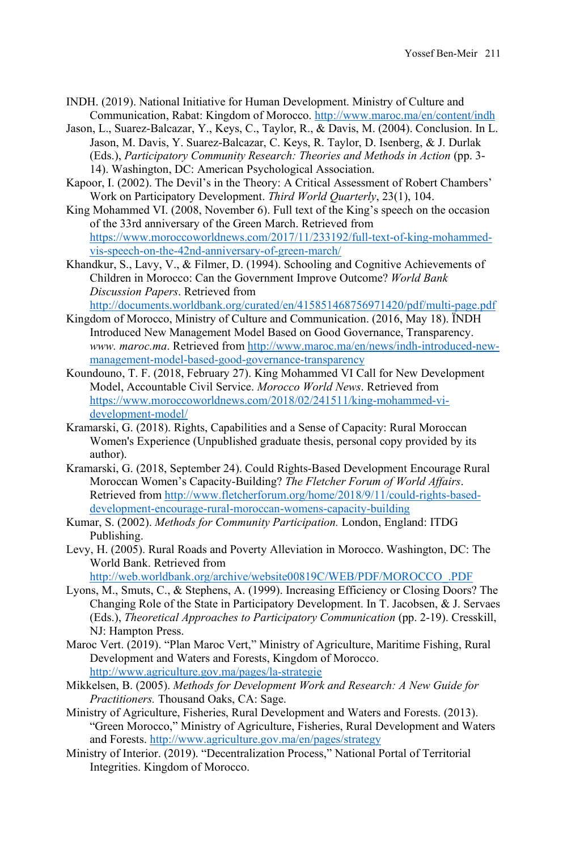- INDH. (2019). National Initiative for Human Development. Ministry of Culture and Communication, Rabat: Kingdom of Morocco[. http://www.maroc.ma/en/content/indh](http://www.maroc.ma/en/content/indh)
- Jason, L., Suarez-Balcazar, Y., Keys, C., Taylor, R., & Davis, M. (2004). Conclusion. In L. Jason, M. Davis, Y. Suarez-Balcazar, C. Keys, R. Taylor, D. Isenberg, & J. Durlak (Eds.), *Participatory Community Research: Theories and Methods in Action* (pp. 3- 14). Washington, DC: American Psychological Association.
- Kapoor, I. (2002). The Devil's in the Theory: A Critical Assessment of Robert Chambers' Work on Participatory Development. *Third World Quarterly*, 23(1), 104.
- King Mohammed VI. (2008, November 6). Full text of the King's speech on the occasion of the 33rd anniversary of the Green March. Retrieved from [https://www.moroccoworldnews.com/2017/11/233192/full-text-of-king-mohammed](https://www.moroccoworldnews.com/2017/11/233192/full-text-of-king-mohammed-vis-speech-on-the-42nd-anniversary-of-green-march/)[vis-speech-on-the-42nd-anniversary-of-green-march/](https://www.moroccoworldnews.com/2017/11/233192/full-text-of-king-mohammed-vis-speech-on-the-42nd-anniversary-of-green-march/)
- Khandkur, S., Lavy, V., & Filmer, D. (1994). Schooling and Cognitive Achievements of Children in Morocco: Can the Government Improve Outcome? *World Bank Discussion Papers*. Retrieved from <http://documents.worldbank.org/curated/en/415851468756971420/pdf/multi-page.pdf>
- Kingdom of Morocco, Ministry of Culture and Communication. (2016, May 18). ÏNDH Introduced New Management Model Based on Good Governance, Transparency. *www. maroc.ma*. Retrieved fro[m http://www.maroc.ma/en/news/indh-introduced-new](http://www.maroc.ma/en/news/indh-introduced-new-management-model-based-good-governance-transparency)[management-model-based-good-governance-transparency](http://www.maroc.ma/en/news/indh-introduced-new-management-model-based-good-governance-transparency)
- Koundouno, T. F. (2018, February 27). King Mohammed VI Call for New Development Model, Accountable Civil Service. *Morocco World News*. Retrieved from [https://www.moroccoworldnews.com/2018/02/241511/king-mohammed-vi](https://www.moroccoworldnews.com/2018/02/241511/king-mohammed-vi-development-model/)[development-model/](https://www.moroccoworldnews.com/2018/02/241511/king-mohammed-vi-development-model/)
- Kramarski, G. (2018). Rights, Capabilities and a Sense of Capacity: Rural Moroccan Women's Experience (Unpublished graduate thesis, personal copy provided by its author).
- Kramarski, G. (2018, September 24). Could Rights-Based Development Encourage Rural Moroccan Women's Capacity-Building? *The Fletcher Forum of World Affairs*. Retrieved fro[m http://www.fletcherforum.org/home/2018/9/11/could-rights-based](http://www.fletcherforum.org/home/2018/9/11/could-rights-based-development-encourage-rural-moroccan-womens-capacity-building)[development-encourage-rural-moroccan-womens-capacity-building](http://www.fletcherforum.org/home/2018/9/11/could-rights-based-development-encourage-rural-moroccan-womens-capacity-building)
- Kumar, S. (2002). *Methods for Community Participation.* London, England: ITDG Publishing.
- Levy, H. (2005). Rural Roads and Poverty Alleviation in Morocco. Washington, DC: The World Bank. Retrieved from

[http://web.worldbank.org/archive/website00819C/WEB/PDF/MOROCCO\\_.PDF](http://web.worldbank.org/archive/website00819C/WEB/PDF/MOROCCO_.PDF)

- Lyons, M., Smuts, C., & Stephens, A. (1999). Increasing Efficiency or Closing Doors? The Changing Role of the State in Participatory Development. In T. Jacobsen, & J. Servaes (Eds.), *Theoretical Approaches to Participatory Communication* (pp. 2-19). Cresskill, NJ: Hampton Press.
- Maroc Vert. (2019). "Plan Maroc Vert," Ministry of Agriculture, Maritime Fishing, Rural Development and Waters and Forests, Kingdom of Morocco. <http://www.agriculture.gov.ma/pages/la-strategie>
- Mikkelsen, B. (2005). *Methods for Development Work and Research: A New Guide for Practitioners.* Thousand Oaks, CA: Sage.
- Ministry of Agriculture, Fisheries, Rural Development and Waters and Forests. (2013). "Green Morocco," Ministry of Agriculture, Fisheries, Rural Development and Waters and Forests.<http://www.agriculture.gov.ma/en/pages/strategy>
- Ministry of Interior. (2019). "Decentralization Process," National Portal of Territorial Integrities. Kingdom of Morocco.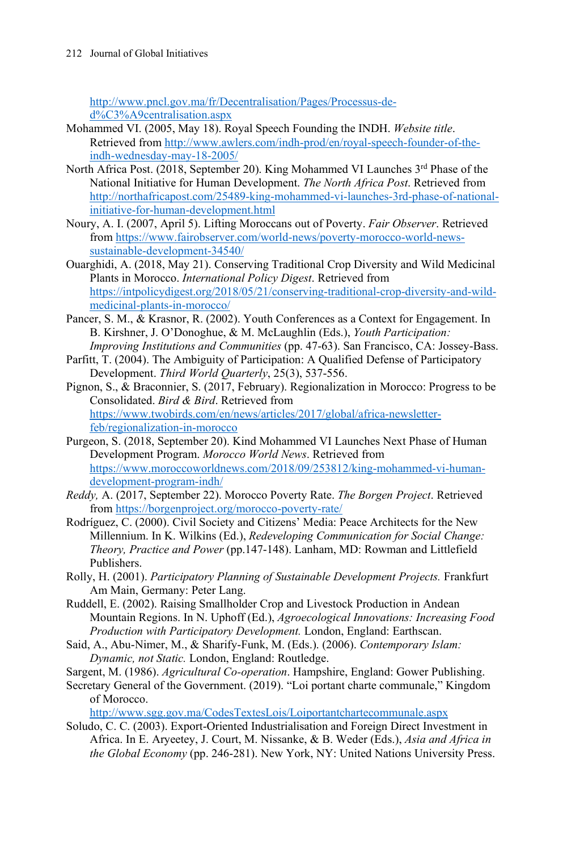[http://www.pncl.gov.ma/fr/Decentralisation/Pages/Processus-de](http://www.pncl.gov.ma/fr/Decentralisation/Pages/Processus-de-d%C3%A9centralisation.aspx)[d%C3%A9centralisation.aspx](http://www.pncl.gov.ma/fr/Decentralisation/Pages/Processus-de-d%C3%A9centralisation.aspx)

- Mohammed VI. (2005, May 18). Royal Speech Founding the INDH. *Website title*. Retrieved fro[m http://www.awlers.com/indh-prod/en/royal-speech-founder-of-the](http://www.awlers.com/indh-prod/en/royal-speech-founder-of-the-indh-wednesday-may-18-2005/)[indh-wednesday-may-18-2005/](http://www.awlers.com/indh-prod/en/royal-speech-founder-of-the-indh-wednesday-may-18-2005/)
- North Africa Post. (2018, September 20). King Mohammed VI Launches 3rd Phase of the National Initiative for Human Development. *The North Africa Post*. Retrieved from [http://northafricapost.com/25489-king-mohammed-vi-launches-3rd-phase-of-national](http://northafricapost.com/25489-king-mohammed-vi-launches-3rd-phase-of-national-initiative-for-human-development.html)[initiative-for-human-development.html](http://northafricapost.com/25489-king-mohammed-vi-launches-3rd-phase-of-national-initiative-for-human-development.html)
- Noury, A. I. (2007, April 5). Lifting Moroccans out of Poverty. *Fair Observer*. Retrieved from [https://www.fairobserver.com/world-news/poverty-morocco-world-news](https://www.fairobserver.com/world-news/poverty-morocco-world-news-sustainable-development-34540/)[sustainable-development-34540/](https://www.fairobserver.com/world-news/poverty-morocco-world-news-sustainable-development-34540/)
- Ouarghidi, A. (2018, May 21). Conserving Traditional Crop Diversity and Wild Medicinal Plants in Morocco. *International Policy Digest*. Retrieved from [https://intpolicydigest.org/2018/05/21/conserving-traditional-crop-diversity-and-wild](https://intpolicydigest.org/2018/05/21/conserving-traditional-crop-diversity-and-wild-medicinal-plants-in-morocco/)[medicinal-plants-in-morocco/](https://intpolicydigest.org/2018/05/21/conserving-traditional-crop-diversity-and-wild-medicinal-plants-in-morocco/)
- Pancer, S. M., & Krasnor, R. (2002). Youth Conferences as a Context for Engagement. In B. Kirshner, J. O'Donoghue, & M. McLaughlin (Eds.), *Youth Participation: Improving Institutions and Communities* (pp. 47-63). San Francisco, CA: Jossey-Bass.
- Parfitt, T. (2004). The Ambiguity of Participation: A Qualified Defense of Participatory Development. *Third World Quarterly*, 25(3), 537-556.
- Pignon, S., & Braconnier, S. (2017, February). Regionalization in Morocco: Progress to be Consolidated. *Bird & Bird*. Retrieved from [https://www.twobirds.com/en/news/articles/2017/global/africa-newsletter](https://www.twobirds.com/en/news/articles/2017/global/africa-newsletter-feb/regionalization-in-morocco)[feb/regionalization-in-morocco](https://www.twobirds.com/en/news/articles/2017/global/africa-newsletter-feb/regionalization-in-morocco)
- Purgeon, S. (2018, September 20). Kind Mohammed VI Launches Next Phase of Human Development Program. *Morocco World News*. Retrieved from [https://www.moroccoworldnews.com/2018/09/253812/king-mohammed-vi-human](https://www.moroccoworldnews.com/2018/09/253812/king-mohammed-vi-human-development-program-indh/)[development-program-indh/](https://www.moroccoworldnews.com/2018/09/253812/king-mohammed-vi-human-development-program-indh/)
- *Reddy,* A. (2017, September 22). Morocco Poverty Rate. *The Borgen Project*. Retrieved from<https://borgenproject.org/morocco-poverty-rate/>
- Rodríguez, C. (2000). Civil Society and Citizens' Media: Peace Architects for the New Millennium. In K. Wilkins (Ed.), *Redeveloping Communication for Social Change: Theory, Practice and Power* (pp.147-148). Lanham, MD: Rowman and Littlefield Publishers.
- Rolly, H. (2001). *Participatory Planning of Sustainable Development Projects.* Frankfurt Am Main, Germany: Peter Lang.
- Ruddell, E. (2002). Raising Smallholder Crop and Livestock Production in Andean Mountain Regions. In N. Uphoff (Ed.), *Agroecological Innovations: Increasing Food Production with Participatory Development.* London, England: Earthscan.
- Said, A., Abu-Nimer, M., & Sharify-Funk, M. (Eds.). (2006). *Contemporary Islam: Dynamic, not Static.* London, England: Routledge.
- Sargent, M. (1986). *Agricultural Co-operation*. Hampshire, England: Gower Publishing.
- Secretary General of the Government. (2019). "Loi portant charte communale," Kingdom of Morocco.

<http://www.sgg.gov.ma/CodesTextesLois/Loiportantchartecommunale.aspx>

Soludo, C. C. (2003). Export-Oriented Industrialisation and Foreign Direct Investment in Africa. In E. Aryeetey, J. Court, M. Nissanke, & B. Weder (Eds.), *Asia and Africa in the Global Economy* (pp. 246-281). New York, NY: United Nations University Press.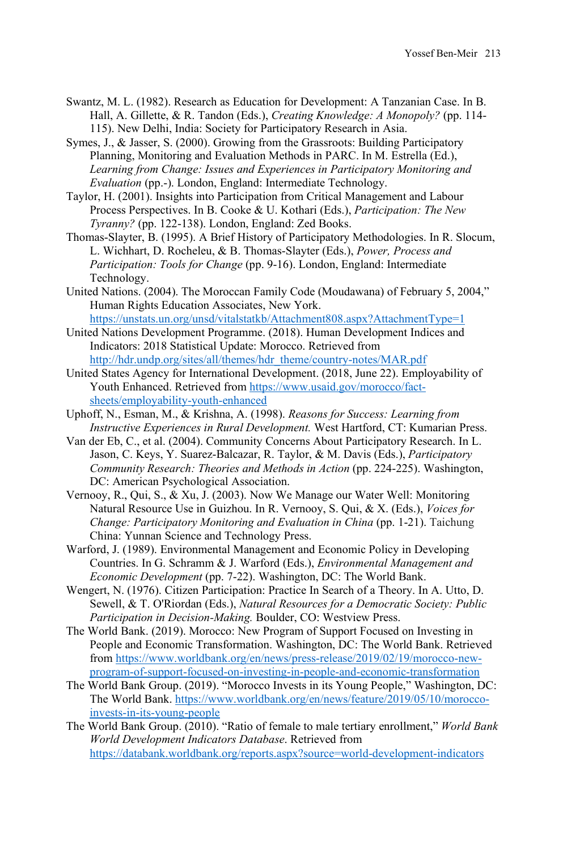- Swantz, M. L. (1982). Research as Education for Development: A Tanzanian Case. In B. Hall, A. Gillette, & R. Tandon (Eds.), *Creating Knowledge: A Monopoly?* (pp. 114- 115). New Delhi, India: Society for Participatory Research in Asia.
- Symes, J., & Jasser, S. (2000). Growing from the Grassroots: Building Participatory Planning, Monitoring and Evaluation Methods in PARC. In M. Estrella (Ed.), *Learning from Change: Issues and Experiences in Participatory Monitoring and Evaluation* (pp.-). London, England: Intermediate Technology.
- Taylor, H. (2001). Insights into Participation from Critical Management and Labour Process Perspectives. In B. Cooke & U. Kothari (Eds.), *Participation: The New Tyranny?* (pp. 122-138). London, England: Zed Books.
- Thomas-Slayter, B. (1995). A Brief History of Participatory Methodologies. In R. Slocum, L. Wichhart, D. Rocheleu, & B. Thomas-Slayter (Eds.), *Power, Process and Participation: Tools for Change* (pp. 9-16). London, England: Intermediate Technology.
- United Nations. (2004). The Moroccan Family Code (Moudawana) of February 5, 2004," Human Rights Education Associates, New York. <https://unstats.un.org/unsd/vitalstatkb/Attachment808.aspx?AttachmentType=1>
- United Nations Development Programme. (2018). Human Development Indices and Indicators: 2018 Statistical Update: Morocco. Retrieved from [http://hdr.undp.org/sites/all/themes/hdr\\_theme/country-notes/MAR.pdf](http://hdr.undp.org/sites/all/themes/hdr_theme/country-notes/MAR.pdf)
- United States Agency for International Development. (2018, June 22). Employability of Youth Enhanced. Retrieved from [https://www.usaid.gov/morocco/fact](https://www.usaid.gov/morocco/fact-sheets/employability-youth-enhanced)[sheets/employability-youth-enhanced](https://www.usaid.gov/morocco/fact-sheets/employability-youth-enhanced)
- Uphoff, N., Esman, M., & Krishna, A. (1998). *Reasons for Success: Learning from Instructive Experiences in Rural Development.* West Hartford, CT: Kumarian Press.
- Van der Eb, C., et al. (2004). Community Concerns About Participatory Research. In L. Jason, C. Keys, Y. Suarez-Balcazar, R. Taylor, & M. Davis (Eds.), *Participatory Community Research: Theories and Methods in Action (pp. 224-225).* Washington, DC: American Psychological Association.
- Vernooy, R., Qui, S., & Xu, J. (2003). Now We Manage our Water Well: Monitoring Natural Resource Use in Guizhou. In R. Vernooy, S. Qui, & X. (Eds.), *Voices for Change: Participatory Monitoring and Evaluation in China (pp. 1-21). Taichung* China: Yunnan Science and Technology Press.
- Warford, J. (1989). Environmental Management and Economic Policy in Developing Countries. In G. Schramm & J. Warford (Eds.), *Environmental Management and Economic Development* (pp. 7-22). Washington, DC: The World Bank.
- Wengert, N. (1976). Citizen Participation: Practice In Search of a Theory. In A. Utto, D. Sewell, & T. O'Riordan (Eds.), *Natural Resources for a Democratic Society: Public Participation in Decision-Making.* Boulder, CO: Westview Press.
- The World Bank. (2019). Morocco: New Program of Support Focused on Investing in People and Economic Transformation. Washington, DC: The World Bank. Retrieved from [https://www.worldbank.org/en/news/press-release/2019/02/19/morocco-new](https://www.worldbank.org/en/news/press-release/2019/02/19/morocco-new-program-of-support-focused-on-investing-in-people-and-economic-transformation)[program-of-support-focused-on-investing-in-people-and-economic-transformation](https://www.worldbank.org/en/news/press-release/2019/02/19/morocco-new-program-of-support-focused-on-investing-in-people-and-economic-transformation)
- The World Bank Group. (2019). "Morocco Invests in its Young People," Washington, DC: The World Bank[. https://www.worldbank.org/en/news/feature/2019/05/10/morocco](https://www.worldbank.org/en/news/feature/2019/05/10/morocco-invests-in-its-young-people)[invests-in-its-young-people](https://www.worldbank.org/en/news/feature/2019/05/10/morocco-invests-in-its-young-people)
- The World Bank Group. (2010). "Ratio of female to male tertiary enrollment," *World Bank World Development Indicators Database*. Retrieved from <https://databank.worldbank.org/reports.aspx?source=world-development-indicators>